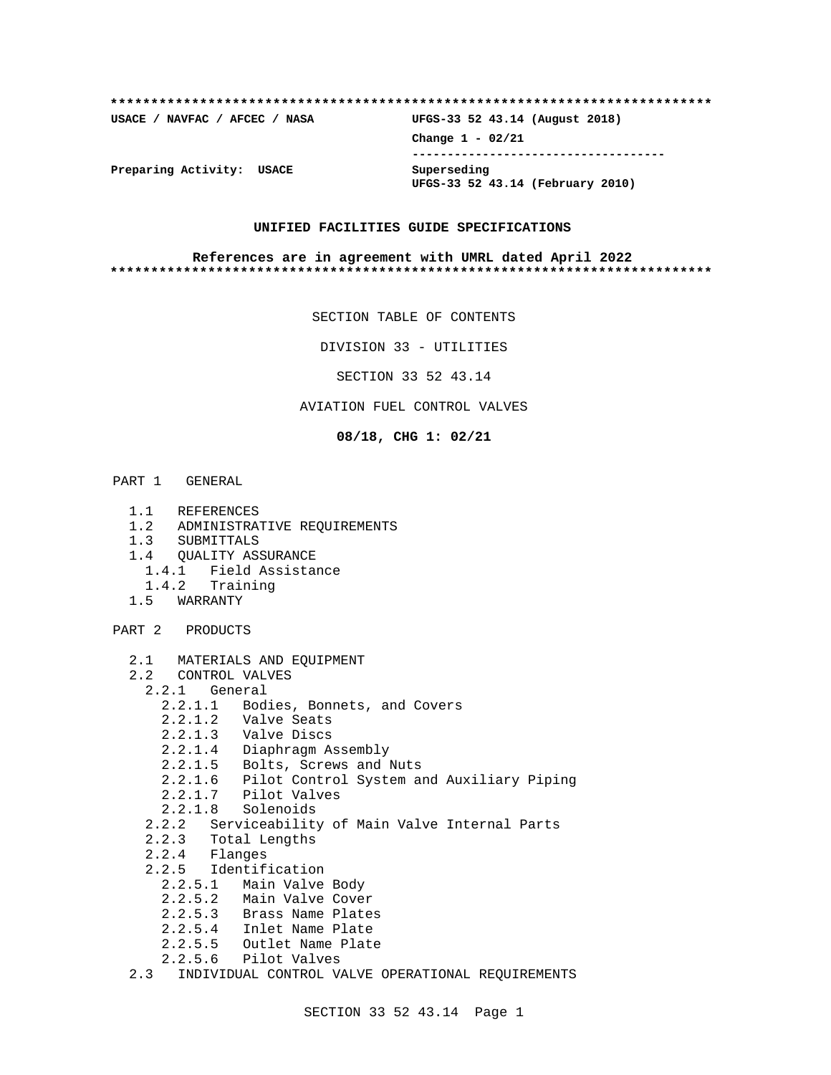# **\*\*\*\*\*\*\*\*\*\*\*\*\*\*\*\*\*\*\*\*\*\*\*\*\*\*\*\*\*\*\*\*\*\*\*\*\*\*\*\*\*\*\*\*\*\*\*\*\*\*\*\*\*\*\*\*\*\*\*\*\*\*\*\*\*\*\*\*\*\*\*\*\*\* USACE / NAVFAC / AFCEC / NASA UFGS-33 52 43.14 (August 2018) Change 1 - 02/21 ------------------------------------ Preparing Activity: USACE Superseding UFGS-33 52 43.14 (February 2010)**

## **UNIFIED FACILITIES GUIDE SPECIFICATIONS**

#### **References are in agreement with UMRL dated April 2022 \*\*\*\*\*\*\*\*\*\*\*\*\*\*\*\*\*\*\*\*\*\*\*\*\*\*\*\*\*\*\*\*\*\*\*\*\*\*\*\*\*\*\*\*\*\*\*\*\*\*\*\*\*\*\*\*\*\*\*\*\*\*\*\*\*\*\*\*\*\*\*\*\*\***

SECTION TABLE OF CONTENTS

DIVISION 33 - UTILITIES

SECTION 33 52 43.14

AVIATION FUEL CONTROL VALVES

**08/18, CHG 1: 02/21**

## PART 1 GENERAL

- 1.1 REFERENCES
- 1.2 ADMINISTRATIVE REQUIREMENTS
- 1.3 SUBMITTALS
- 1.4 QUALITY ASSURANCE
- 1.4.1 Field Assistance
- 1.4.2 Training
- 1.5 WARRANTY

PART 2 PRODUCTS

- 2.1 MATERIALS AND EQUIPMENT
- 2.2 CONTROL VALVES
- 2.2.1 General
	- 2.2.1.1 Bodies, Bonnets, and Covers
		- 2.2.1.2 Valve Seats
		- 2.2.1.3 Valve Discs
	- 2.2.1.4 Diaphragm Assembly
	- 2.2.1.5 Bolts, Screws and Nuts
	- 2.2.1.6 Pilot Control System and Auxiliary Piping
	- 2.2.1.7 Pilot Valves
	- 2.2.1.8 Solenoids
	- 2.2.2 Serviceability of Main Valve Internal Parts
- 2.2.3 Total Lengths
- 2.2.4 Flanges
- 2.2.5 Identification
	- 2.2.5.1 Main Valve Body
	- 2.2.5.2 Main Valve Cover
	- 2.2.5.3 Brass Name Plates
	- 2.2.5.4 Inlet Name Plate
	- 2.2.5.5 Outlet Name Plate
	- 2.2.5.6 Pilot Valves
- 2.3 INDIVIDUAL CONTROL VALVE OPERATIONAL REQUIREMENTS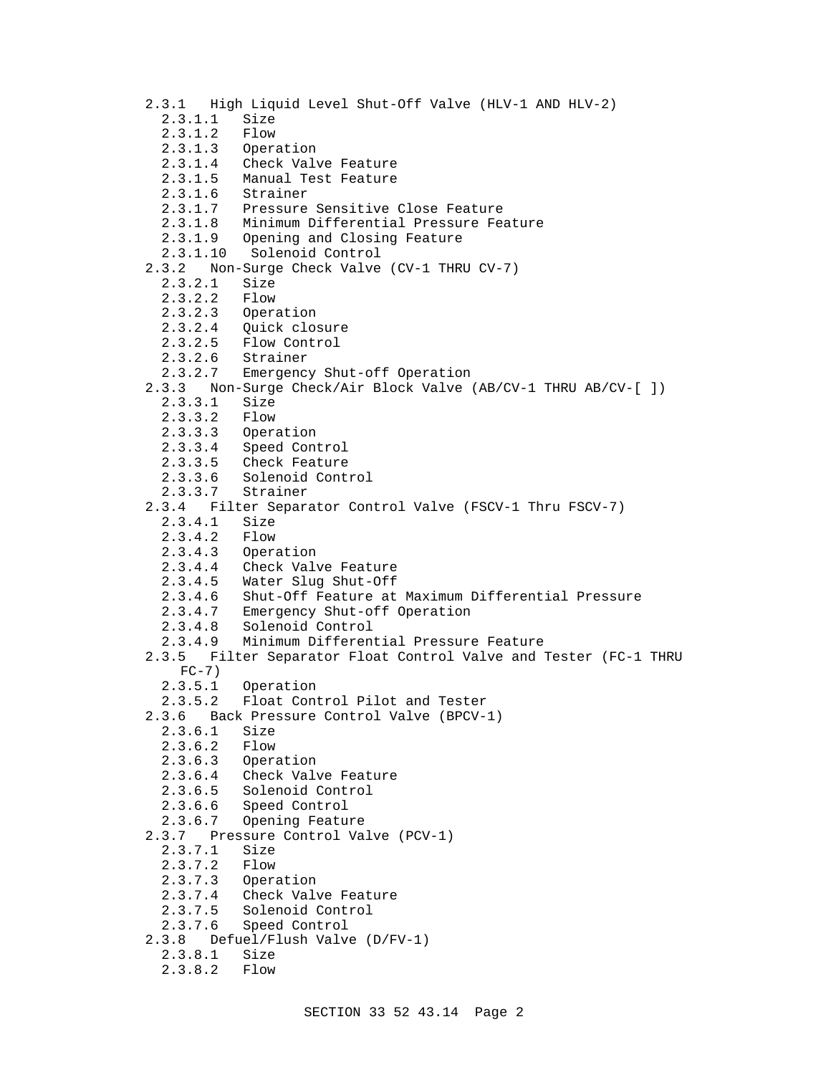2.3.1 High Liquid Level Shut-Off Valve (HLV-1 AND HLV-2) 2.3.1.1 Size 2.3.1.2 Flow<br>2.3.1.3 Oper Operation 2.3.1.4 Check Valve Feature 2.3.1.5 Manual Test Feature 2.3.1.6 Strainer 2.3.1.7 Pressure Sensitive Close Feature 2.3.1.8 Minimum Differential Pressure Feature 2.3.1.9 Opening and Closing Feature 2.3.1.10 Solenoid Control 2.3.2 Non-Surge Check Valve (CV-1 THRU CV-7) 2.3.2.1 Size 2.3.2.2 Flow<br>2.3.2.3 Oper Operation 2.3.2.4 Quick closure 2.3.2.5 Flow Control 2.3.2.6 Strainer 2.3.2.7 Emergency Shut-off Operation 2.3.3 Non-Surge Check/Air Block Valve (AB/CV-1 THRU AB/CV-[ ]) 2.3.3.1 Size 2.3.3.2 Flow 2.3.3.3 Operation 2.3.3.4 Speed Control 2.3.3.5 Check Feature 2.3.3.6 Solenoid Control 2.3.3.7 Strainer 2.3.4 Filter Separator Control Valve (FSCV-1 Thru FSCV-7) 2.3.4.1 Size 2.3.4.2 Flow 2.3.4.3 Operation 2.3.4.4 Check Valve Feature<br>2.3.4.5 Water Slug Shut-Off Water Slug Shut-Off 2.3.4.6 Shut-Off Feature at Maximum Differential Pressure 2.3.4.7 Emergency Shut-off Operation 2.3.4.8 Solenoid Control 2.3.4.9 Minimum Differential Pressure Feature 2.3.5 Filter Separator Float Control Valve and Tester (FC-1 THRU  $FC-7$ )<br>2.3.5.1 Operation 2.3.5.2 Float Control Pilot and Tester 2.3.6 Back Pressure Control Valve (BPCV-1) 2.3.6.1 Size 2.3.6.2 Flow 2.3.6.3 Operation 2.3.6.4 Check Valve Feature 2.3.6.5 Solenoid Control 2.3.6.6 Speed Control 2.3.6.7 Opening Feature 2.3.7 Pressure Control Valve (PCV-1) 2.3.7.1 Size<br>2.3.7.2 Flow  $2.3.7.2$  2.3.7.3 Operation 2.3.7.4 Check Valve Feature 2.3.7.5 Solenoid Control 2.3.7.6 Speed Control 2.3.8 Defuel/Flush Valve (D/FV-1) 2.3.8.1 Size 2.3.8.2 Flow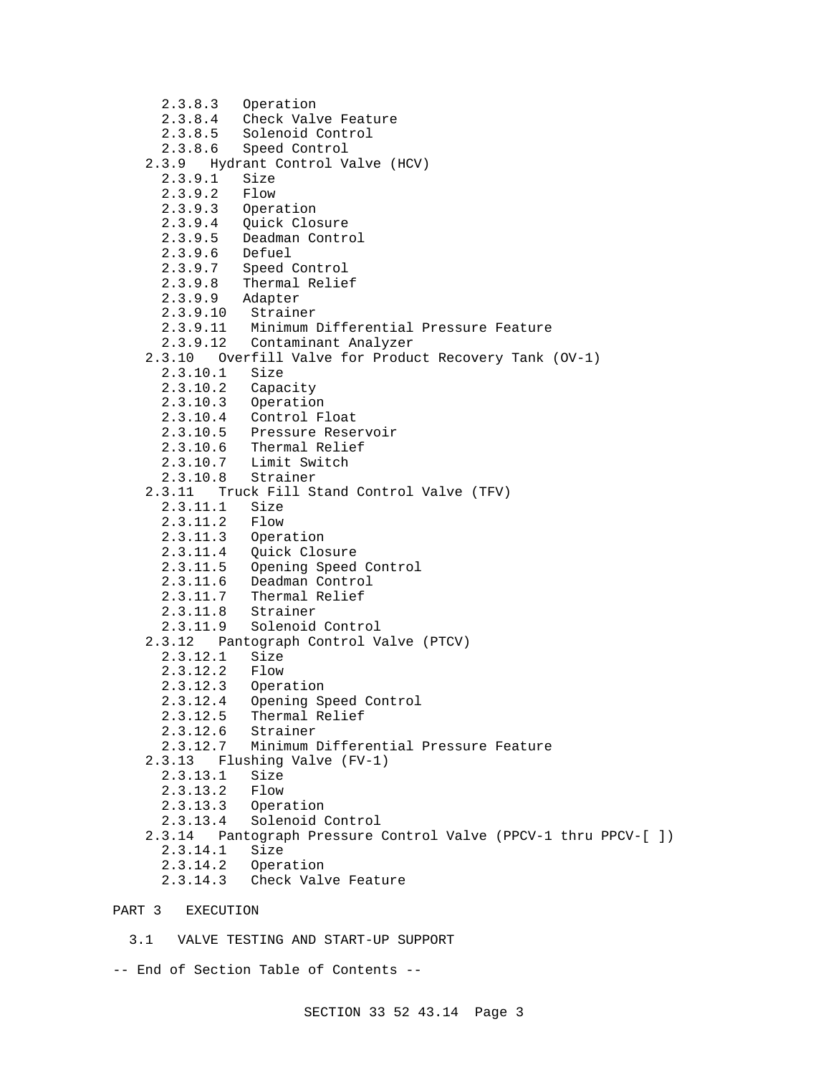2.3.8.3 Operation 2.3.8.4 Check Valve Feature<br>2.3.8.5 Solenoid Control Solenoid Control 2.3.8.6 Speed Control 2.3.9 Hydrant Control Valve (HCV) 2.3.9.1 Size 2.3.9.2 Flow<br>2.3.9.3 Oper 2.3.9.3 Operation<br>2.3.9.4 Quick Clo Quick Closure 2.3.9.5 Deadman Control 2.3.9.6 Defuel 2.3.9.7 Speed Control 2.3.9.8 Thermal Relief 2.3.9.9 Adapter 2.3.9.10 Strainer 2.3.9.11 Minimum Differential Pressure Feature 2.3.9.12 Contaminant Analyzer 2.3.10 Overfill Valve for Product Recovery Tank (OV-1) 2.3.10.1 Size 2.3.10.2 Capacity 2.3.10.3 Operation 2.3.10.4 Control Float 2.3.10.5 Pressure Reservoir 2.3.10.6 Thermal Relief 2.3.10.7 Limit Switch 2.3.10.8 Strainer 2.3.11 Truck Fill Stand Control Valve (TFV) 2.3.11.1 Size<br>2.3.11.2 Flow  $2.3.11.2$  2.3.11.3 Operation 2.3.11.4 Quick Closure 2.3.11.5 Opening Speed Control 2.3.11.6 Deadman Control 2.3.11.7 Thermal Relief 2.3.11.8 Strainer 2.3.11.9 Solenoid Control 2.3.12 Pantograph Control Valve (PTCV) 2.3.12.1 Size 2.3.12.2 Flow 2.3.12.3 Operation 2.3.12.4 Opening Speed Control 2.3.12.5 Thermal Relief 2.3.12.6 Strainer 2.3.12.7 Minimum Differential Pressure Feature 2.3.13 Flushing Valve (FV-1) 2.3.13.1 Size 2.3.13.2 Flow 2.3.13.3 Operation 2.3.13.4 Solenoid Control 2.3.14 Pantograph Pressure Control Valve (PPCV-1 thru PPCV-[ ]) 2.3.14.1 Size 2.3.14.2 Operation 2.3.14.3 Check Valve Feature PART 3 EXECUTION

3.1 VALVE TESTING AND START-UP SUPPORT

-- End of Section Table of Contents --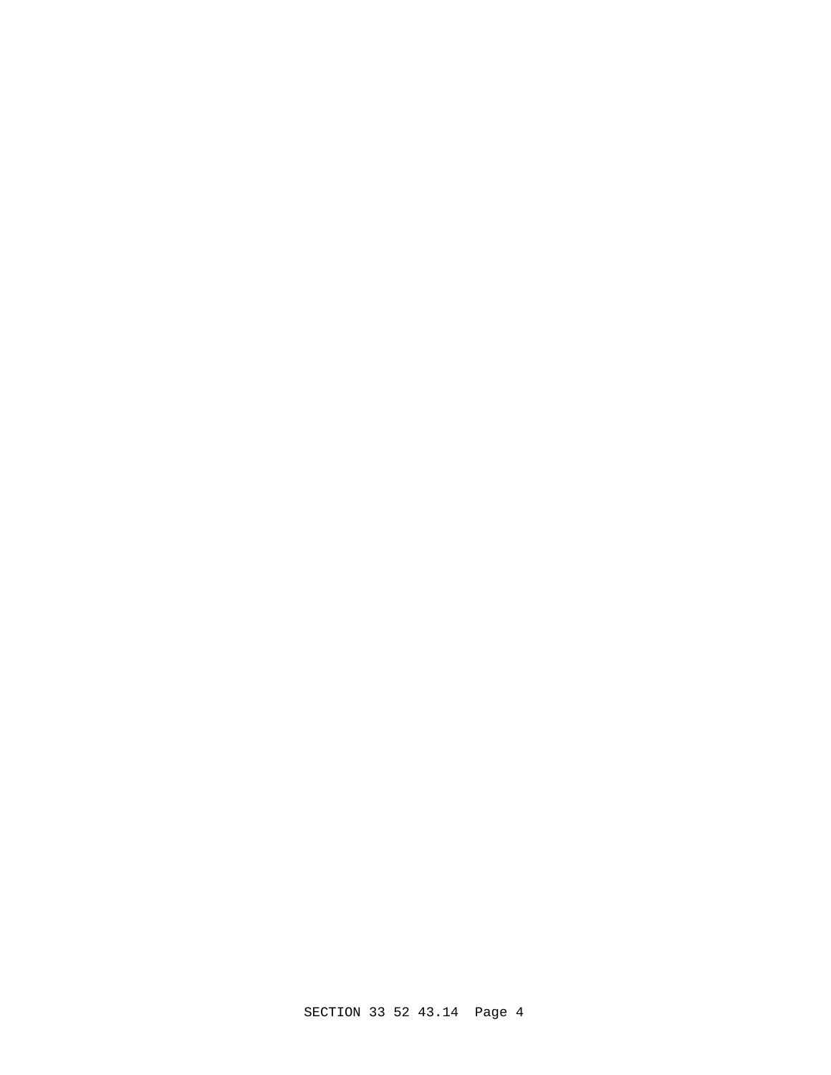SECTION 33 52 43.14 Page 4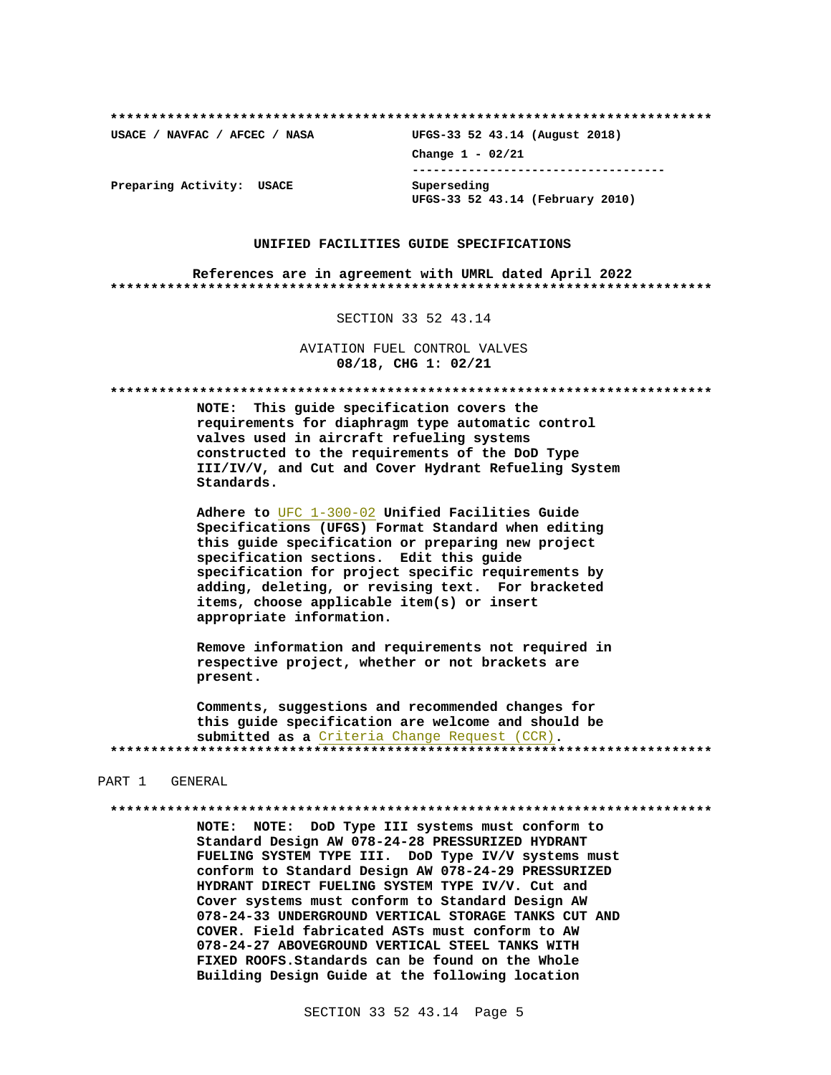USACE / NAVFAC / AFCEC / NASA

UFGS-33 52 43.14 (August 2018) Change  $1 - 02/21$ ------------------------------------Superseding UFGS-33 52 43.14 (February 2010)

Preparing Activity: USACE

### UNIFIED FACILITIES GUIDE SPECIFICATIONS

References are in agreement with UMRL dated April 2022 

SECTION 33 52 43.14

AVIATION FUEL CONTROL VALVES 08/18, CHG 1: 02/21

NOTE: This quide specification covers the requirements for diaphragm type automatic control valves used in aircraft refueling systems constructed to the requirements of the DoD Type III/IV/V, and Cut and Cover Hydrant Refueling System Standards.

Adhere to UFC 1-300-02 Unified Facilities Guide Specifications (UFGS) Format Standard when editing this guide specification or preparing new project specification sections. Edit this guide specification for project specific requirements by adding, deleting, or revising text. For bracketed items, choose applicable item(s) or insert appropriate information.

Remove information and requirements not required in respective project, whether or not brackets are present.

Comments, suggestions and recommended changes for this guide specification are welcome and should be submitted as a Criteria Change Request (CCR). 

#### PART 1 GENERAL

NOTE: NOTE: DoD Type III systems must conform to Standard Design AW 078-24-28 PRESSURIZED HYDRANT FUELING SYSTEM TYPE III. DoD Type IV/V systems must conform to Standard Design AW 078-24-29 PRESSURIZED HYDRANT DIRECT FUELING SYSTEM TYPE IV/V. Cut and Cover systems must conform to Standard Design AW 078-24-33 UNDERGROUND VERTICAL STORAGE TANKS CUT AND COVER. Field fabricated ASTs must conform to AW 078-24-27 ABOVEGROUND VERTICAL STEEL TANKS WITH FIXED ROOFS. Standards can be found on the Whole Building Design Guide at the following location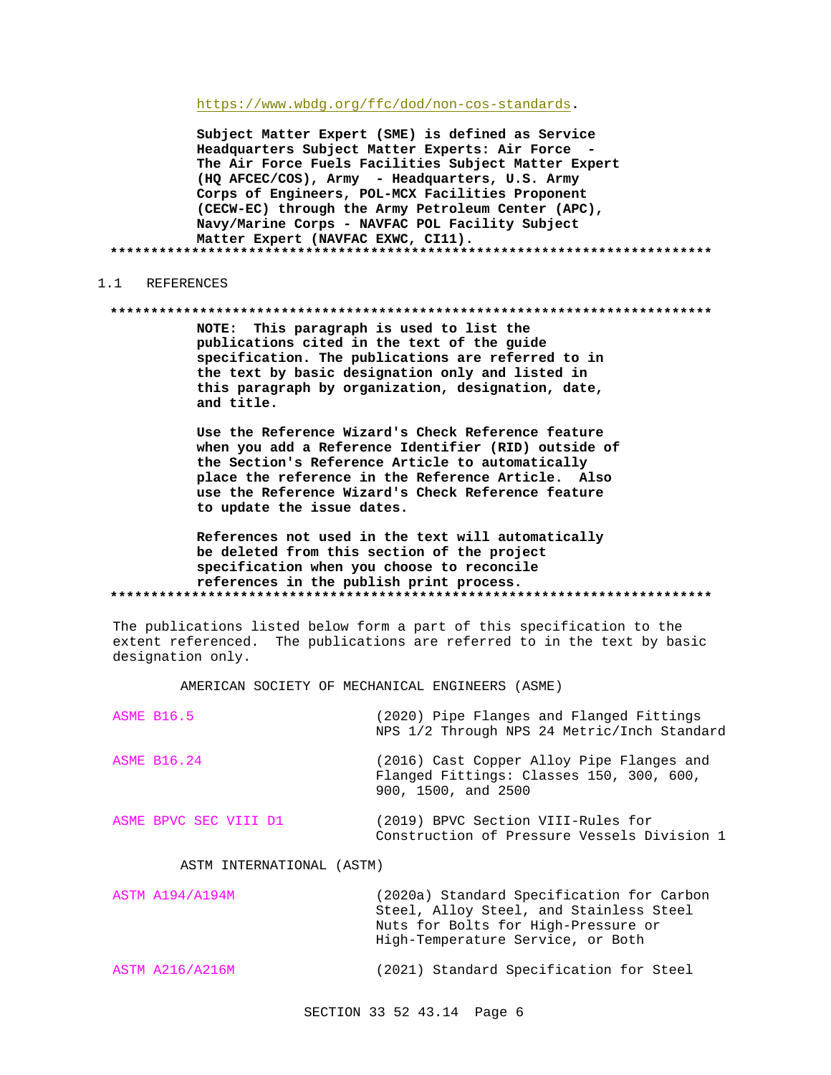https://www.wbdg.org/ffc/dod/non-cos-standards.

Subject Matter Expert (SME) is defined as Service Headquarters Subject Matter Experts: Air Force -The Air Force Fuels Facilities Subject Matter Expert (HQ AFCEC/COS), Army - Headquarters, U.S. Army Corps of Engineers, POL-MCX Facilities Proponent (CECW-EC) through the Army Petroleum Center (APC), Navy/Marine Corps - NAVFAC POL Facility Subject Matter Expert (NAVFAC EXWC, CI11). 

#### REFERENCES  $1 \quad 1$

#### 

NOTE: This paragraph is used to list the publications cited in the text of the guide specification. The publications are referred to in the text by basic designation only and listed in this paragraph by organization, designation, date, and title.

Use the Reference Wizard's Check Reference feature when you add a Reference Identifier (RID) outside of the Section's Reference Article to automatically place the reference in the Reference Article. Also use the Reference Wizard's Check Reference feature to update the issue dates.

References not used in the text will automatically be deleted from this section of the project specification when you choose to reconcile references in the publish print process. 

The publications listed below form a part of this specification to the extent referenced. The publications are referred to in the text by basic designation only.

AMERICAN SOCIETY OF MECHANICAL ENGINEERS (ASME)

| <b>ASME B16.5</b>     | (2020) Pipe Flanges and Flanged Fittings<br>NPS 1/2 Through NPS 24 Metric/Inch Standard                      |
|-----------------------|--------------------------------------------------------------------------------------------------------------|
| <b>ASME B16.24</b>    | (2016) Cast Copper Alloy Pipe Flanges and<br>Flanged Fittings: Classes 150, 300, 600,<br>900, 1500, and 2500 |
| ASME BPVC SEC VIII D1 | (2019) BPVC Section VIII-Rules for<br>Construction of Pressure Vessels Division 1                            |

#### ASTM INTERNATIONAL (ASTM)

| ASTM A194/A194M | (2020a) Standard Specification for Carbon |
|-----------------|-------------------------------------------|
|                 | Steel, Alloy Steel, and Stainless Steel   |
|                 | Nuts for Bolts for High-Pressure or       |
|                 | High-Temperature Service, or Both         |
|                 |                                           |

#### (2021) Standard Specification for Steel **ASTM A216/A216M**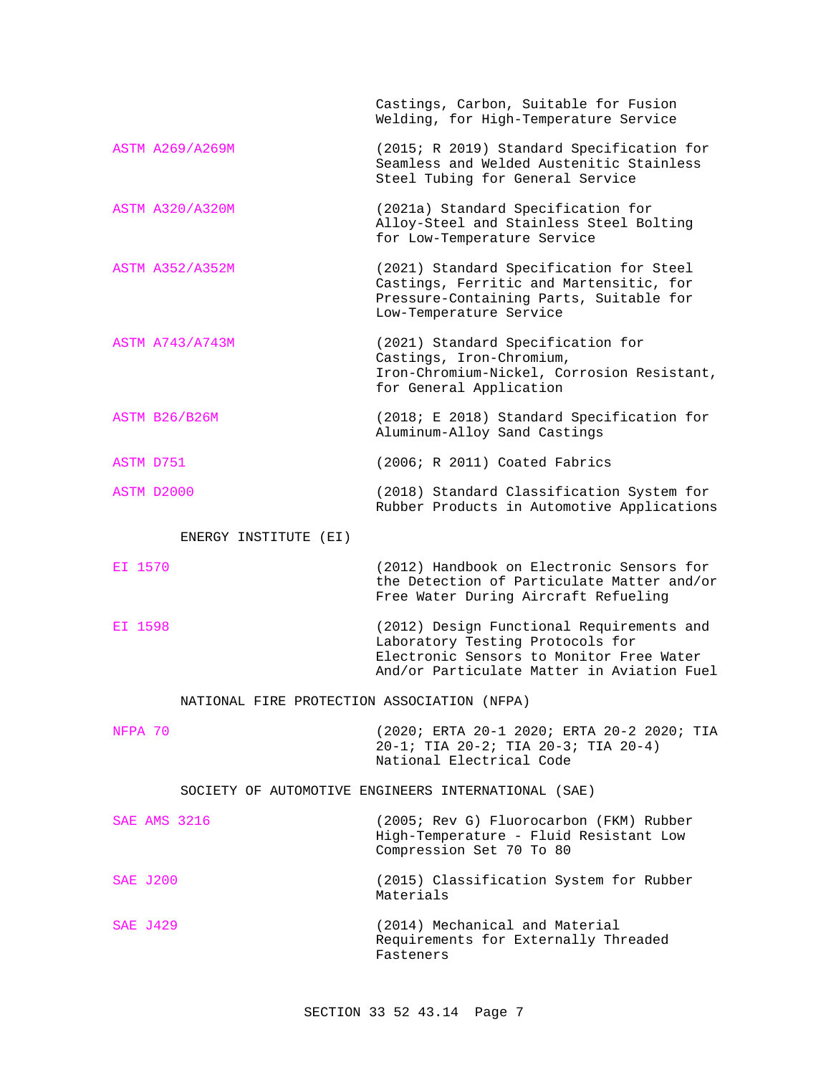|                                                     | Castings, Carbon, Suitable for Fusion<br>Welding, for High-Temperature Service                                                                                          |  |  |  |
|-----------------------------------------------------|-------------------------------------------------------------------------------------------------------------------------------------------------------------------------|--|--|--|
| <b>ASTM A269/A269M</b>                              | (2015; R 2019) Standard Specification for<br>Seamless and Welded Austenitic Stainless<br>Steel Tubing for General Service                                               |  |  |  |
| <b>ASTM A320/A320M</b>                              | (2021a) Standard Specification for<br>Alloy-Steel and Stainless Steel Bolting<br>for Low-Temperature Service                                                            |  |  |  |
| <b>ASTM A352/A352M</b>                              | (2021) Standard Specification for Steel<br>Castings, Ferritic and Martensitic, for<br>Pressure-Containing Parts, Suitable for<br>Low-Temperature Service                |  |  |  |
| <b>ASTM A743/A743M</b>                              | (2021) Standard Specification for<br>Castings, Iron-Chromium,<br>Iron-Chromium-Nickel, Corrosion Resistant,<br>for General Application                                  |  |  |  |
| <b>ASTM B26/B26M</b>                                | (2018; E 2018) Standard Specification for<br>Aluminum-Alloy Sand Castings                                                                                               |  |  |  |
| ASTM D751                                           | (2006; R 2011) Coated Fabrics                                                                                                                                           |  |  |  |
| ASTM D2000                                          | (2018) Standard Classification System for<br>Rubber Products in Automotive Applications                                                                                 |  |  |  |
| ENERGY INSTITUTE (EI)                               |                                                                                                                                                                         |  |  |  |
| EI 1570                                             | (2012) Handbook on Electronic Sensors for<br>the Detection of Particulate Matter and/or<br>Free Water During Aircraft Refueling                                         |  |  |  |
| EI 1598                                             | (2012) Design Functional Requirements and<br>Laboratory Testing Protocols for<br>Electronic Sensors to Monitor Free Water<br>And/or Particulate Matter in Aviation Fuel |  |  |  |
| NATIONAL FIRE PROTECTION ASSOCIATION (NFPA)         |                                                                                                                                                                         |  |  |  |
| NFPA 70                                             | (2020; ERTA 20-1 2020; ERTA 20-2 2020; TIA<br>20-1; TIA 20-2; TIA 20-3; TIA 20-4)<br>National Electrical Code                                                           |  |  |  |
| SOCIETY OF AUTOMOTIVE ENGINEERS INTERNATIONAL (SAE) |                                                                                                                                                                         |  |  |  |
| <b>SAE AMS 3216</b>                                 | (2005; Rev G) Fluorocarbon (FKM) Rubber<br>High-Temperature - Fluid Resistant Low<br>Compression Set 70 To 80                                                           |  |  |  |
| <b>SAE J200</b>                                     | (2015) Classification System for Rubber<br>Materials                                                                                                                    |  |  |  |
| <b>SAE J429</b>                                     | (2014) Mechanical and Material<br>Requirements for Externally Threaded<br>Fasteners                                                                                     |  |  |  |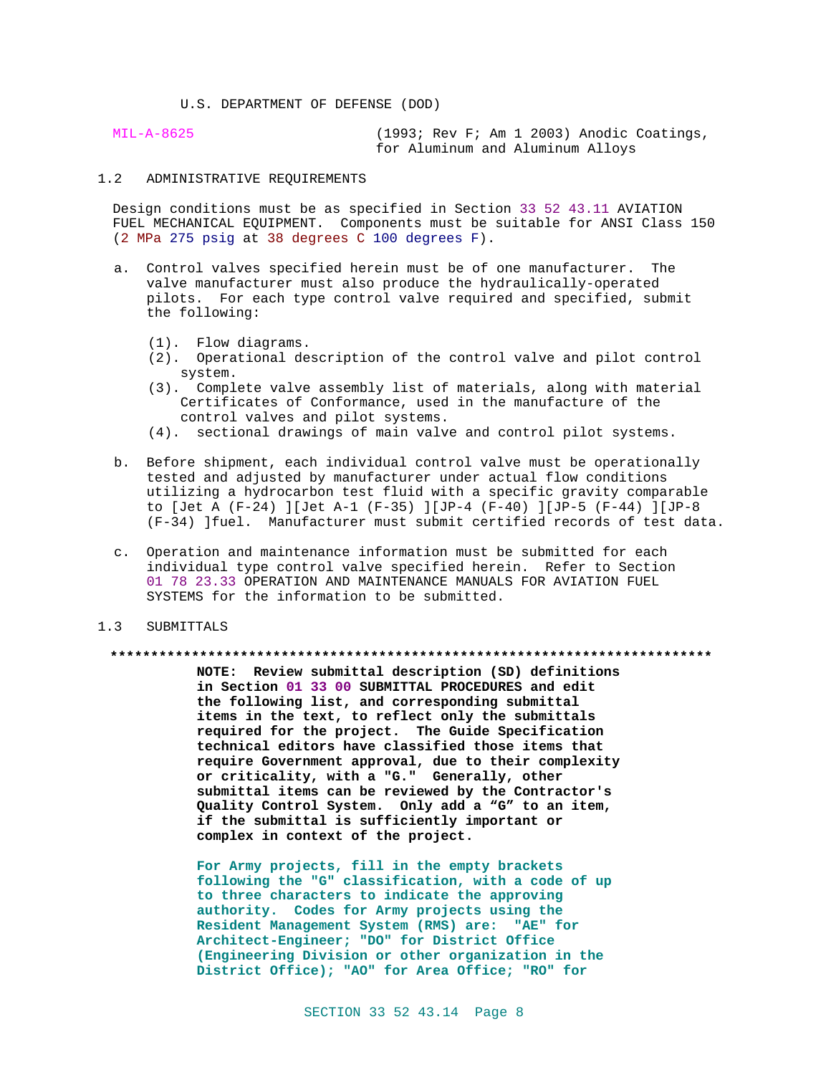$MIL-A-8625$ 

(1993; Rev F; Am 1 2003) Anodic Coatings, for Aluminum and Aluminum Alloys

#### $1.2$ ADMINISTRATIVE REQUIREMENTS

Design conditions must be as specified in Section 33 52 43.11 AVIATION FUEL MECHANICAL EQUIPMENT. Components must be suitable for ANSI Class 150 (2 MPa 275 psig at 38 degrees C 100 degrees F).

- a. Control valves specified herein must be of one manufacturer. The valve manufacturer must also produce the hydraulically-operated pilots. For each type control valve required and specified, submit the following:
	- (1). Flow diagrams.
	- (2). Operational description of the control valve and pilot control system.
	- (3). Complete valve assembly list of materials, along with material Certificates of Conformance, used in the manufacture of the control valves and pilot systems.
	- (4). sectional drawings of main valve and control pilot systems.
- b. Before shipment, each individual control valve must be operationally tested and adjusted by manufacturer under actual flow conditions utilizing a hydrocarbon test fluid with a specific gravity comparable to [Jet A (F-24) ] [Jet A-1 (F-35) ] [JP-4 (F-40) ] [JP-5 (F-44) ] [JP-8 (F-34) ]fuel. Manufacturer must submit certified records of test data.
- c. Operation and maintenance information must be submitted for each individual type control valve specified herein. Refer to Section 01 78 23.33 OPERATION AND MAINTENANCE MANUALS FOR AVIATION FUEL SYSTEMS for the information to be submitted.

#### $1.3$ SUBMITTALS

NOTE: Review submittal description (SD) definitions in Section 01 33 00 SUBMITTAL PROCEDURES and edit the following list, and corresponding submittal items in the text, to reflect only the submittals required for the project. The Guide Specification technical editors have classified those items that require Government approval, due to their complexity or criticality, with a "G." Generally, other submittal items can be reviewed by the Contractor's Quality Control System. Only add a "G" to an item, if the submittal is sufficiently important or complex in context of the project.

For Army projects, fill in the empty brackets following the "G" classification, with a code of up to three characters to indicate the approving authority. Codes for Army projects using the Resident Management System (RMS) are: "AE" for Architect-Engineer; "DO" for District Office (Engineering Division or other organization in the District Office); "AO" for Area Office; "RO" for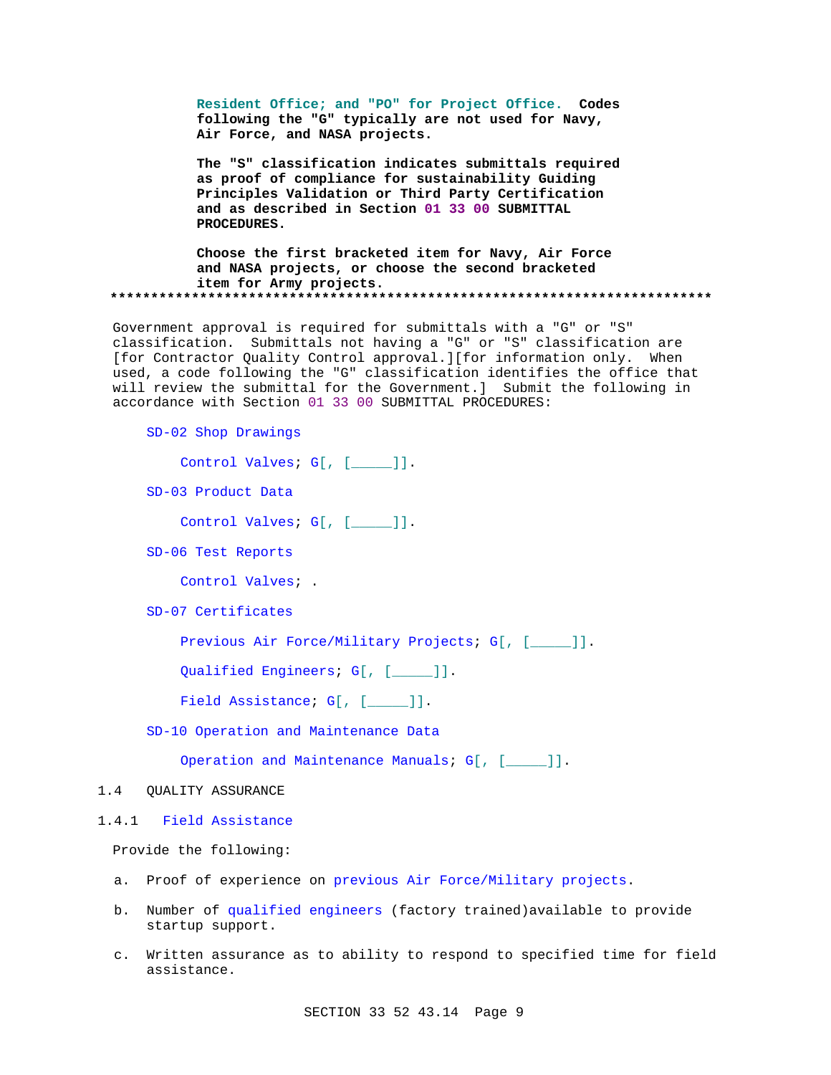**Resident Office; and "PO" for Project Office. Codes following the "G" typically are not used for Navy, Air Force, and NASA projects.**

**The "S" classification indicates submittals required as proof of compliance for sustainability Guiding Principles Validation or Third Party Certification and as described in Section 01 33 00 SUBMITTAL PROCEDURES.**

**Choose the first bracketed item for Navy, Air Force and NASA projects, or choose the second bracketed item for Army projects. \*\*\*\*\*\*\*\*\*\*\*\*\*\*\*\*\*\*\*\*\*\*\*\*\*\*\*\*\*\*\*\*\*\*\*\*\*\*\*\*\*\*\*\*\*\*\*\*\*\*\*\*\*\*\*\*\*\*\*\*\*\*\*\*\*\*\*\*\*\*\*\*\*\***

Government approval is required for submittals with a "G" or "S" classification. Submittals not having a "G" or "S" classification are [for Contractor Quality Control approval.][for information only. When used, a code following the "G" classification identifies the office that will review the submittal for the Government.] Submit the following in accordance with Section 01 33 00 SUBMITTAL PROCEDURES:

## SD-02 Shop Drawings

Control Valves; G[, [\_\_\_\_]].

SD-03 Product Data

Control Valves; G[, [\_\_\_\_]].

SD-06 Test Reports

Control Valves; .

SD-07 Certificates

Previous Air Force/Military Projects; G[, [\_\_\_\_]].

Qualified Engineers; G[, [\_\_\_\_\_]].

Field Assistance; G[, [\_\_\_\_]].

SD-10 Operation and Maintenance Data

Operation and Maintenance Manuals; G[, [\_\_\_\_\_]].

## 1.4 QUALITY ASSURANCE

## 1.4.1 Field Assistance

Provide the following:

- a. Proof of experience on previous Air Force/Military projects.
- b. Number of qualified engineers (factory trained)available to provide startup support.
- c. Written assurance as to ability to respond to specified time for field assistance.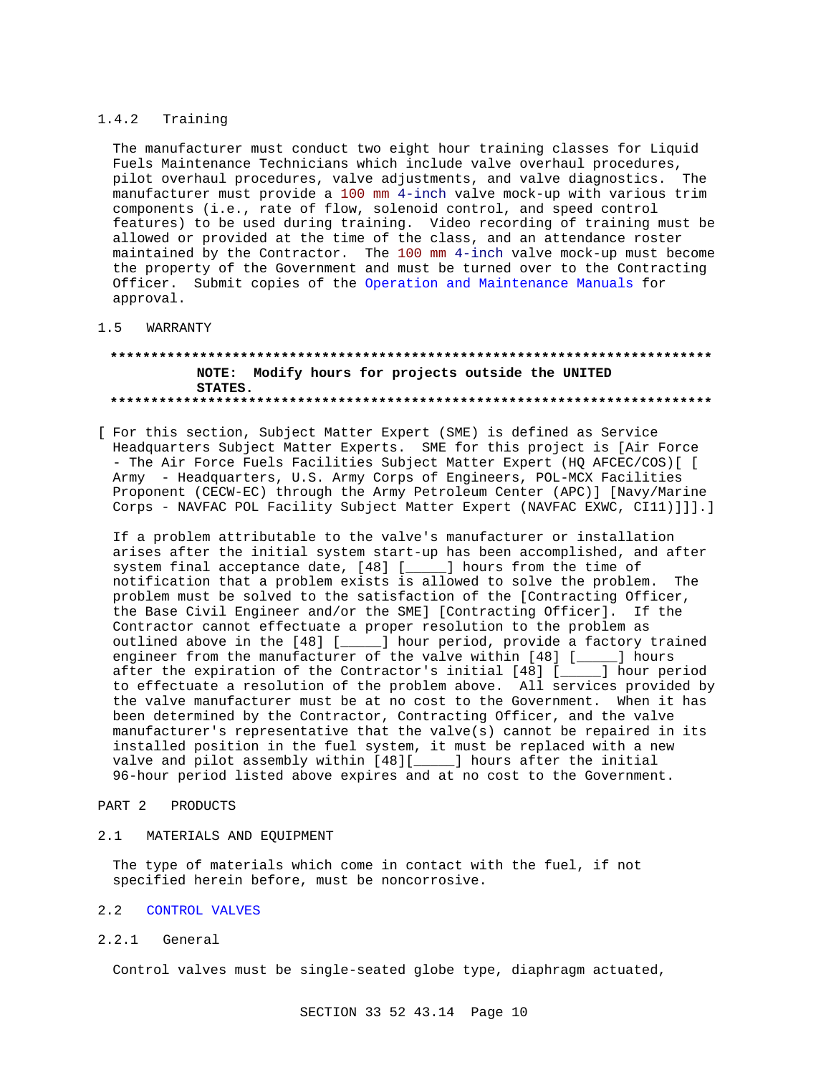#### $1.4.2$ Training

The manufacturer must conduct two eight hour training classes for Liquid Fuels Maintenance Technicians which include valve overhaul procedures, pilot overhaul procedures, valve adjustments, and valve diagnostics. The manufacturer must provide a 100 mm 4-inch valve mock-up with various trim components (i.e., rate of flow, solenoid control, and speed control features) to be used during training. Video recording of training must be allowed or provided at the time of the class, and an attendance roster maintained by the Contractor. The 100 mm 4-inch valve mock-up must become the property of the Government and must be turned over to the Contracting Officer. Submit copies of the Operation and Maintenance Manuals for approval.

#### $1.5$ WARRANTY

## NOTE: Modify hours for projects outside the UNITED STATES.

[ For this section, Subject Matter Expert (SME) is defined as Service Headquarters Subject Matter Experts. SME for this project is [Air Force - The Air Force Fuels Facilities Subject Matter Expert (HQ AFCEC/COS) [ [ Army - Headquarters, U.S. Army Corps of Engineers, POL-MCX Facilities Proponent (CECW-EC) through the Army Petroleum Center (APC)] [Navy/Marine Corps - NAVFAC POL Facility Subject Matter Expert (NAVFAC EXWC, CI11)]]].]

If a problem attributable to the valve's manufacturer or installation arises after the initial system start-up has been accomplished, and after system final acceptance date, [48] [\_\_\_\_\_] hours from the time of notification that a problem exists is allowed to solve the problem. The problem must be solved to the satisfaction of the [Contracting Officer, the Base Civil Engineer and/or the SME] [Contracting Officer]. If the Contractor cannot effectuate a proper resolution to the problem as outlined above in the [48] [\_\_\_\_\_] hour period, provide a factory trained engineer from the manufacturer of the valve within [48] [\_\_\_\_] hours after the expiration of the Contractor's initial [48] [\_\_\_\_] hour period to effectuate a resolution of the problem above. All services provided by the valve manufacturer must be at no cost to the Government. When it has been determined by the Contractor, Contracting Officer, and the valve manufacturer's representative that the valve(s) cannot be repaired in its installed position in the fuel system, it must be replaced with a new valve and pilot assembly within [48][\_\_\_\_\_] hours after the initial 96-hour period listed above expires and at no cost to the Government.

#### PART 2 PRODUCTS

#### $2.1$ MATERIALS AND EQUIPMENT

The type of materials which come in contact with the fuel, if not specified herein before, must be noncorrosive.

## 2.2 CONTROL VALVES

#### $2.2.1$ General

Control valves must be single-seated globe type, diaphragm actuated,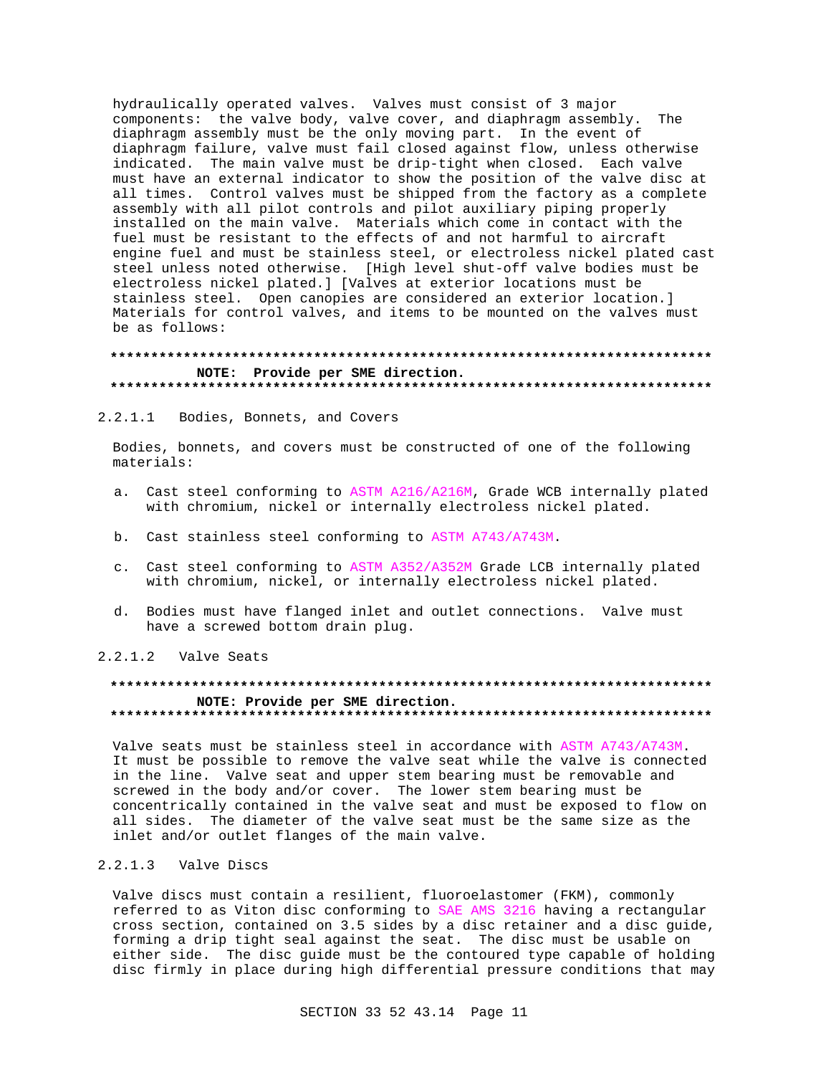hydraulically operated valves. Valves must consist of 3 major components: the valve body, valve cover, and diaphragm assembly. The diaphragm assembly must be the only moving part. In the event of diaphragm failure, valve must fail closed against flow, unless otherwise indicated. The main valve must be drip-tight when closed. Each valve must have an external indicator to show the position of the valve disc at all times. Control valves must be shipped from the factory as a complete assembly with all pilot controls and pilot auxiliary piping properly installed on the main valve. Materials which come in contact with the fuel must be resistant to the effects of and not harmful to aircraft engine fuel and must be stainless steel, or electroless nickel plated cast steel unless noted otherwise. [High level shut-off valve bodies must be electroless nickel plated.] [Valves at exterior locations must be stainless steel. Open canopies are considered an exterior location.] Materials for control valves, and items to be mounted on the valves must be as follows:

## **\*\*\*\*\*\*\*\*\*\*\*\*\*\*\*\*\*\*\*\*\*\*\*\*\*\*\*\*\*\*\*\*\*\*\*\*\*\*\*\*\*\*\*\*\*\*\*\*\*\*\*\*\*\*\*\*\*\*\*\*\*\*\*\*\*\*\*\*\*\*\*\*\*\***

### **NOTE: Provide per SME direction. \*\*\*\*\*\*\*\*\*\*\*\*\*\*\*\*\*\*\*\*\*\*\*\*\*\*\*\*\*\*\*\*\*\*\*\*\*\*\*\*\*\*\*\*\*\*\*\*\*\*\*\*\*\*\*\*\*\*\*\*\*\*\*\*\*\*\*\*\*\*\*\*\*\***

2.2.1.1 Bodies, Bonnets, and Covers

Bodies, bonnets, and covers must be constructed of one of the following materials:

- a. Cast steel conforming to ASTM A216/A216M, Grade WCB internally plated with chromium, nickel or internally electroless nickel plated.
- b. Cast stainless steel conforming to ASTM A743/A743M.
- c. Cast steel conforming to ASTM A352/A352M Grade LCB internally plated with chromium, nickel, or internally electroless nickel plated.
- d. Bodies must have flanged inlet and outlet connections. Valve must have a screwed bottom drain plug.

## 2.2.1.2 Valve Seats

## **\*\*\*\*\*\*\*\*\*\*\*\*\*\*\*\*\*\*\*\*\*\*\*\*\*\*\*\*\*\*\*\*\*\*\*\*\*\*\*\*\*\*\*\*\*\*\*\*\*\*\*\*\*\*\*\*\*\*\*\*\*\*\*\*\*\*\*\*\*\*\*\*\*\* NOTE: Provide per SME direction. \*\*\*\*\*\*\*\*\*\*\*\*\*\*\*\*\*\*\*\*\*\*\*\*\*\*\*\*\*\*\*\*\*\*\*\*\*\*\*\*\*\*\*\*\*\*\*\*\*\*\*\*\*\*\*\*\*\*\*\*\*\*\*\*\*\*\*\*\*\*\*\*\*\***

Valve seats must be stainless steel in accordance with ASTM A743/A743M. It must be possible to remove the valve seat while the valve is connected in the line. Valve seat and upper stem bearing must be removable and screwed in the body and/or cover. The lower stem bearing must be concentrically contained in the valve seat and must be exposed to flow on all sides. The diameter of the valve seat must be the same size as the inlet and/or outlet flanges of the main valve.

# 2.2.1.3 Valve Discs

Valve discs must contain a resilient, fluoroelastomer (FKM), commonly referred to as Viton disc conforming to SAE AMS 3216 having a rectangular cross section, contained on 3.5 sides by a disc retainer and a disc guide, forming a drip tight seal against the seat. The disc must be usable on either side. The disc guide must be the contoured type capable of holding disc firmly in place during high differential pressure conditions that may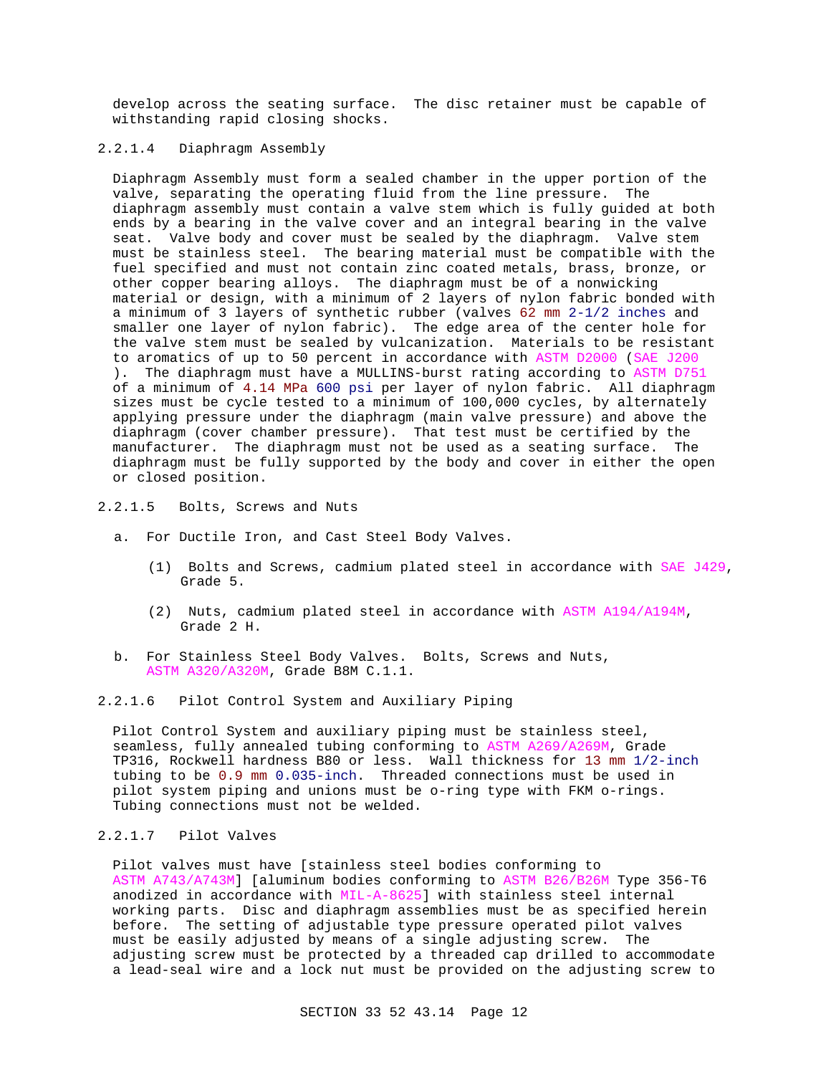develop across the seating surface. The disc retainer must be capable of withstanding rapid closing shocks.

## 2.2.1.4 Diaphragm Assembly

Diaphragm Assembly must form a sealed chamber in the upper portion of the valve, separating the operating fluid from the line pressure. The diaphragm assembly must contain a valve stem which is fully guided at both ends by a bearing in the valve cover and an integral bearing in the valve seat. Valve body and cover must be sealed by the diaphragm. Valve stem must be stainless steel. The bearing material must be compatible with the fuel specified and must not contain zinc coated metals, brass, bronze, or other copper bearing alloys. The diaphragm must be of a nonwicking material or design, with a minimum of 2 layers of nylon fabric bonded with a minimum of 3 layers of synthetic rubber (valves 62 mm 2-1/2 inches and smaller one layer of nylon fabric). The edge area of the center hole for the valve stem must be sealed by vulcanization. Materials to be resistant to aromatics of up to 50 percent in accordance with ASTM D2000 (SAE J200 ). The diaphragm must have a MULLINS-burst rating according to ASTM D751 of a minimum of 4.14 MPa 600 psi per layer of nylon fabric. All diaphragm sizes must be cycle tested to a minimum of 100,000 cycles, by alternately applying pressure under the diaphragm (main valve pressure) and above the diaphragm (cover chamber pressure). That test must be certified by the manufacturer. The diaphragm must not be used as a seating surface. The diaphragm must be fully supported by the body and cover in either the open or closed position.

2.2.1.5 Bolts, Screws and Nuts

- a. For Ductile Iron, and Cast Steel Body Valves.
	- (1) Bolts and Screws, cadmium plated steel in accordance with SAE J429, Grade 5.
	- (2) Nuts, cadmium plated steel in accordance with ASTM A194/A194M, Grade 2 H.
- b. For Stainless Steel Body Valves. Bolts, Screws and Nuts, ASTM A320/A320M, Grade B8M C.1.1.

### 2.2.1.6 Pilot Control System and Auxiliary Piping

Pilot Control System and auxiliary piping must be stainless steel, seamless, fully annealed tubing conforming to ASTM A269/A269M, Grade TP316, Rockwell hardness B80 or less. Wall thickness for 13 mm 1/2-inch tubing to be 0.9 mm 0.035-inch. Threaded connections must be used in pilot system piping and unions must be o-ring type with FKM o-rings. Tubing connections must not be welded.

## 2.2.1.7 Pilot Valves

Pilot valves must have [stainless steel bodies conforming to ASTM A743/A743M] [aluminum bodies conforming to ASTM B26/B26M Type 356-T6 anodized in accordance with MIL-A-8625] with stainless steel internal working parts. Disc and diaphragm assemblies must be as specified herein before. The setting of adjustable type pressure operated pilot valves must be easily adjusted by means of a single adjusting screw. The adjusting screw must be protected by a threaded cap drilled to accommodate a lead-seal wire and a lock nut must be provided on the adjusting screw to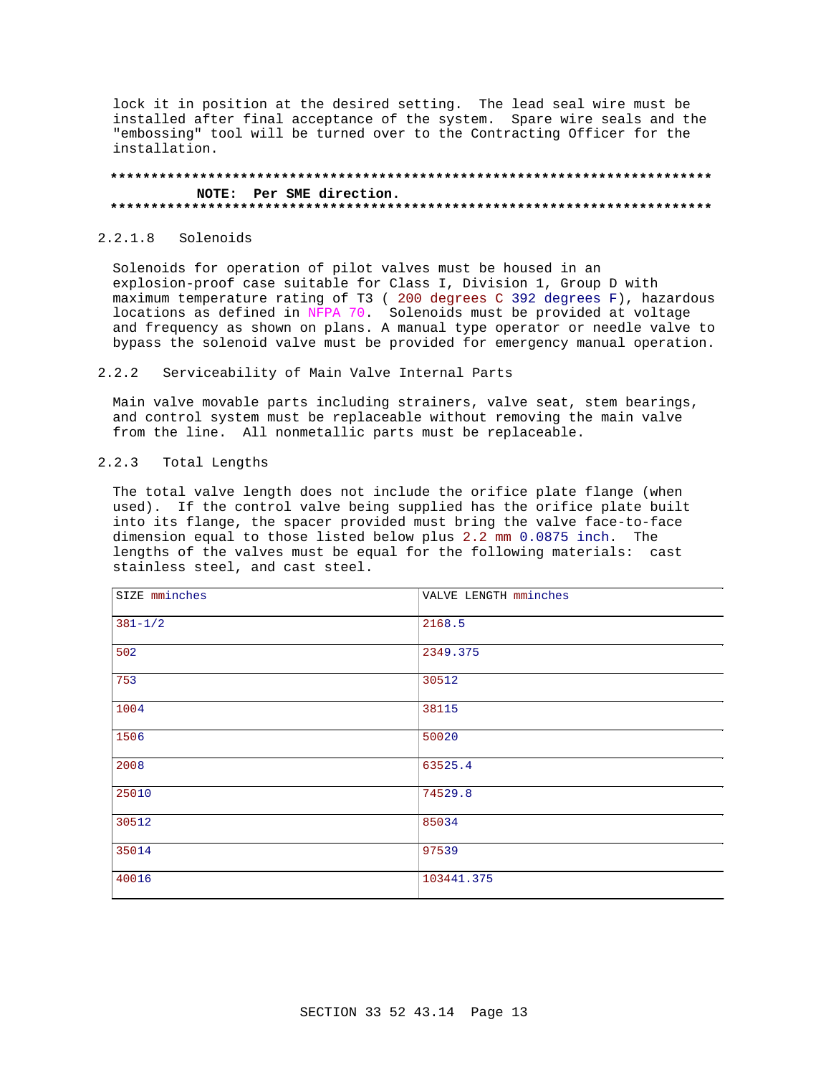lock it in position at the desired setting. The lead seal wire must be installed after final acceptance of the system. Spare wire seals and the "embossing" tool will be turned over to the Contracting Officer for the installation.

### **\*\*\*\*\*\*\*\*\*\*\*\*\*\*\*\*\*\*\*\*\*\*\*\*\*\*\*\*\*\*\*\*\*\*\*\*\*\*\*\*\*\*\*\*\*\*\*\*\*\*\*\*\*\*\*\*\*\*\*\*\*\*\*\*\*\*\*\*\*\*\*\*\*\* NOTE: Per SME direction. \*\*\*\*\*\*\*\*\*\*\*\*\*\*\*\*\*\*\*\*\*\*\*\*\*\*\*\*\*\*\*\*\*\*\*\*\*\*\*\*\*\*\*\*\*\*\*\*\*\*\*\*\*\*\*\*\*\*\*\*\*\*\*\*\*\*\*\*\*\*\*\*\*\***

## 2.2.1.8 Solenoids

Solenoids for operation of pilot valves must be housed in an explosion-proof case suitable for Class I, Division 1, Group D with maximum temperature rating of T3 ( 200 degrees C 392 degrees F), hazardous locations as defined in NFPA 70. Solenoids must be provided at voltage and frequency as shown on plans. A manual type operator or needle valve to bypass the solenoid valve must be provided for emergency manual operation.

## 2.2.2 Serviceability of Main Valve Internal Parts

Main valve movable parts including strainers, valve seat, stem bearings, and control system must be replaceable without removing the main valve from the line. All nonmetallic parts must be replaceable.

## 2.2.3 Total Lengths

The total valve length does not include the orifice plate flange (when used). If the control valve being supplied has the orifice plate built into its flange, the spacer provided must bring the valve face-to-face dimension equal to those listed below plus 2.2 mm 0.0875 inch. The lengths of the valves must be equal for the following materials: cast stainless steel, and cast steel.

| SIZE mminches | VALVE LENGTH mminches |  |
|---------------|-----------------------|--|
| $381 - 1/2$   | 2168.5                |  |
| 502           | 2349.375              |  |
| 753           | 30512                 |  |
| 1004          | 38115                 |  |
| 1506          | 50020                 |  |
| 2008          | 63525.4               |  |
| 25010         | 74529.8               |  |
| 30512         | 85034                 |  |
| 35014         | 97539                 |  |
| 40016         | 103441.375            |  |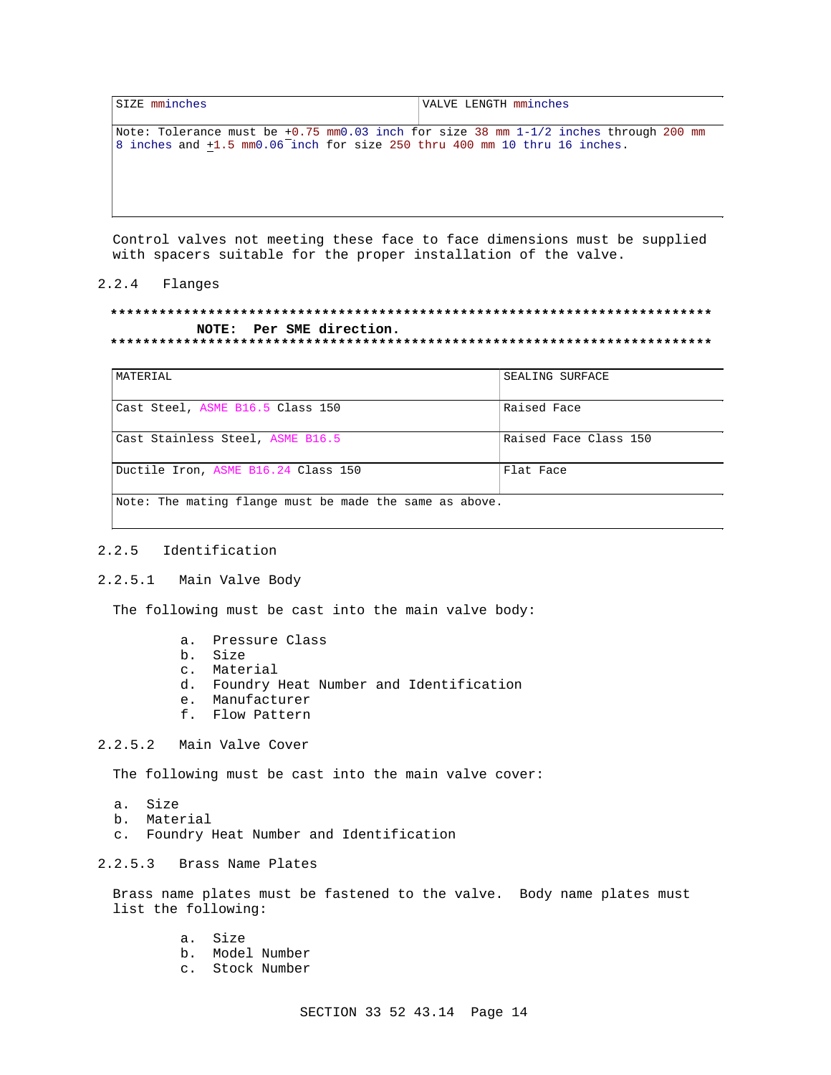| SIZE mminches                                                                                                                                                        | VALVE LENGTH mminches |
|----------------------------------------------------------------------------------------------------------------------------------------------------------------------|-----------------------|
| $ Note: Tolerance must be +0.75 mm0.03 inch for size 38 mm 1-1/2 inches through 200 mm$<br>8 inches and +1.5 mm0.06 inch for size 250 thru 400 mm 10 thru 16 inches. |                       |

Control valves not meeting these face to face dimensions must be supplied with spacers suitable for the proper installation of the valve.

## 2.2.4 Flanges

## **\*\*\*\*\*\*\*\*\*\*\*\*\*\*\*\*\*\*\*\*\*\*\*\*\*\*\*\*\*\*\*\*\*\*\*\*\*\*\*\*\*\*\*\*\*\*\*\*\*\*\*\*\*\*\*\*\*\*\*\*\*\*\*\*\*\*\*\*\*\*\*\*\*\* NOTE: Per SME direction. \*\*\*\*\*\*\*\*\*\*\*\*\*\*\*\*\*\*\*\*\*\*\*\*\*\*\*\*\*\*\*\*\*\*\*\*\*\*\*\*\*\*\*\*\*\*\*\*\*\*\*\*\*\*\*\*\*\*\*\*\*\*\*\*\*\*\*\*\*\*\*\*\*\***

| MATERIAL                            | SEALING SURFACE       |
|-------------------------------------|-----------------------|
| Cast Steel, ASME B16.5 Class 150    | Raised Face           |
| Cast Stainless Steel, ASME B16.5    | Raised Face Class 150 |
| Ductile Iron, ASME B16.24 Class 150 | Flat Face             |

Note: The mating flange must be made the same as above.

## 2.2.5 Identification

## 2.2.5.1 Main Valve Body

The following must be cast into the main valve body:

- a. Pressure Class
- b. Size
- c. Material
- d. Foundry Heat Number and Identification
- e. Manufacturer
- f. Flow Pattern

# 2.2.5.2 Main Valve Cover

The following must be cast into the main valve cover:

- a. Size
- b. Material
- c. Foundry Heat Number and Identification

## 2.2.5.3 Brass Name Plates

Brass name plates must be fastened to the valve. Body name plates must list the following:

- a. Size
- b. Model Number
- c. Stock Number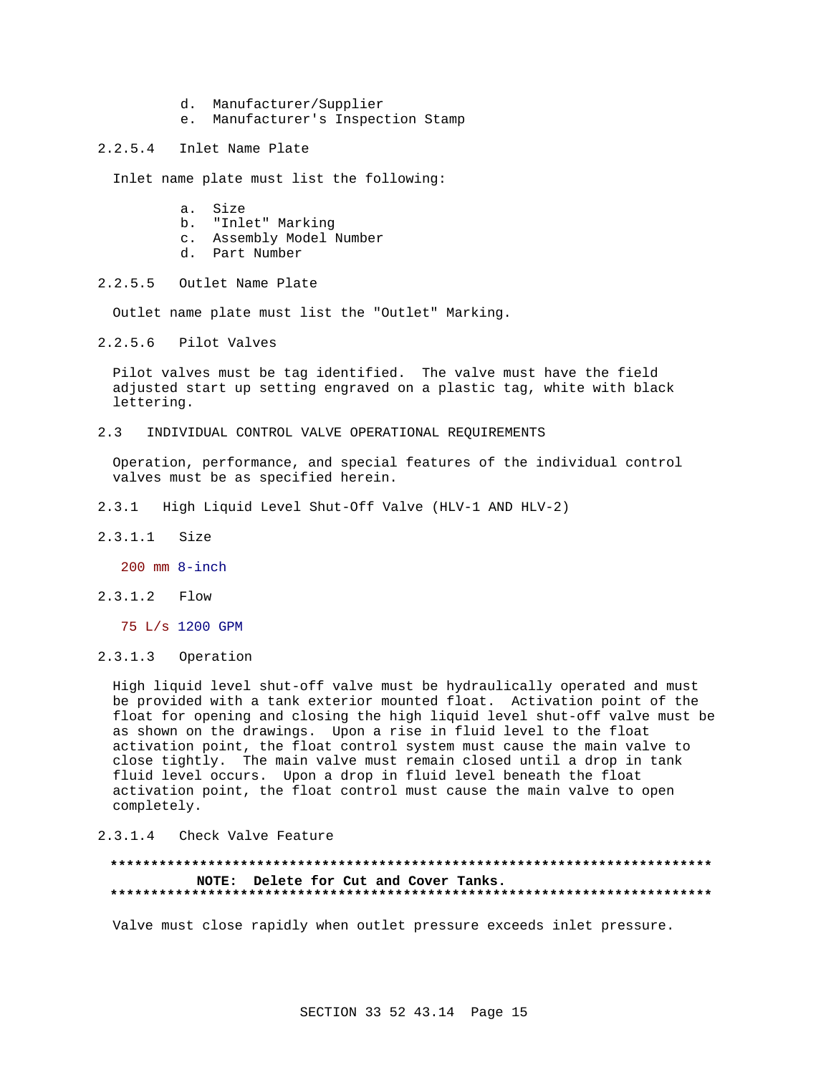- d. Manufacturer/Supplier
- e. Manufacturer's Inspection Stamp

#### $2.2.5.4$ Inlet Name Plate

Inlet name plate must list the following:

- a. Size
- b. "Inlet" Marking
- c. Assembly Model Number
- d. Part Number
- 2.2.5.5 Outlet Name Plate

Outlet name plate must list the "Outlet" Marking.

 $2.2.5.6$ Pilot Valves

Pilot valves must be tag identified. The valve must have the field adjusted start up setting engraved on a plastic tag, white with black lettering.

 $2.3$ INDIVIDUAL CONTROL VALVE OPERATIONAL REQUIREMENTS

Operation, performance, and special features of the individual control valves must be as specified herein.

- High Liquid Level Shut-Off Valve (HLV-1 AND HLV-2)  $2.3.1$
- $2.3.1.1$ Size

 $200$  mm  $8$ -inch

2.3.1.2 Flow

75 L/s 1200 GPM

 $2.3.1.3$ Operation

High liquid level shut-off valve must be hydraulically operated and must be provided with a tank exterior mounted float. Activation point of the float for opening and closing the high liquid level shut-off valve must be as shown on the drawings. Upon a rise in fluid level to the float activation point, the float control system must cause the main valve to close tightly. The main valve must remain closed until a drop in tank fluid level occurs. Upon a drop in fluid level beneath the float activation point, the float control must cause the main valve to open completely.

2.3.1.4 Check Valve Feature

## NOTE: Delete for Cut and Cover Tanks.

Valve must close rapidly when outlet pressure exceeds inlet pressure.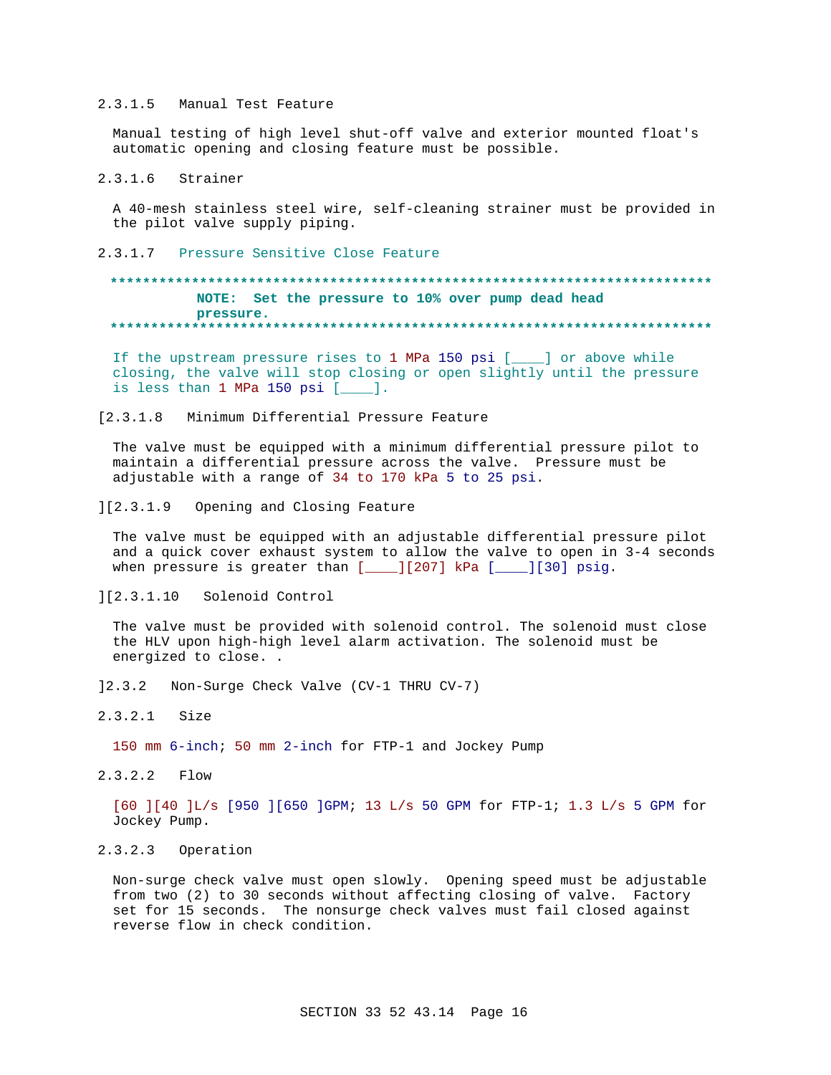## 2.3.1.5 Manual Test Feature

Manual testing of high level shut-off valve and exterior mounted float's automatic opening and closing feature must be possible.

## 2.3.1.6 Strainer

A 40-mesh stainless steel wire, self-cleaning strainer must be provided in the pilot valve supply piping.

## 2.3.1.7 Pressure Sensitive Close Feature

## **\*\*\*\*\*\*\*\*\*\*\*\*\*\*\*\*\*\*\*\*\*\*\*\*\*\*\*\*\*\*\*\*\*\*\*\*\*\*\*\*\*\*\*\*\*\*\*\*\*\*\*\*\*\*\*\*\*\*\*\*\*\*\*\*\*\*\*\*\*\*\*\*\*\* NOTE: Set the pressure to 10% over pump dead head pressure. \*\*\*\*\*\*\*\*\*\*\*\*\*\*\*\*\*\*\*\*\*\*\*\*\*\*\*\*\*\*\*\*\*\*\*\*\*\*\*\*\*\*\*\*\*\*\*\*\*\*\*\*\*\*\*\*\*\*\*\*\*\*\*\*\*\*\*\*\*\*\*\*\*\***

If the upstream pressure rises to 1 MPa 150 psi [\_\_\_\_] or above while closing, the valve will stop closing or open slightly until the pressure is less than 1 MPa 150 psi [\_\_\_\_].

[2.3.1.8 Minimum Differential Pressure Feature

The valve must be equipped with a minimum differential pressure pilot to maintain a differential pressure across the valve. Pressure must be adjustable with a range of 34 to 170 kPa 5 to 25 psi.

## ][2.3.1.9 Opening and Closing Feature

The valve must be equipped with an adjustable differential pressure pilot and a quick cover exhaust system to allow the valve to open in 3-4 seconds when pressure is greater than [\_\_\_\_][207] kPa [\_\_\_\_][30] psig.

][2.3.1.10 Solenoid Control

The valve must be provided with solenoid control. The solenoid must close the HLV upon high-high level alarm activation. The solenoid must be energized to close. .

- ]2.3.2 Non-Surge Check Valve (CV-1 THRU CV-7)
- 2.3.2.1 Size

150 mm 6-inch; 50 mm 2-inch for FTP-1 and Jockey Pump

2.3.2.2 Flow

[60 ][40 ]L/s [950 ][650 ]GPM; 13 L/s 50 GPM for FTP-1; 1.3 L/s 5 GPM for Jockey Pump.

# 2.3.2.3 Operation

Non-surge check valve must open slowly. Opening speed must be adjustable from two (2) to 30 seconds without affecting closing of valve. Factory set for 15 seconds. The nonsurge check valves must fail closed against reverse flow in check condition.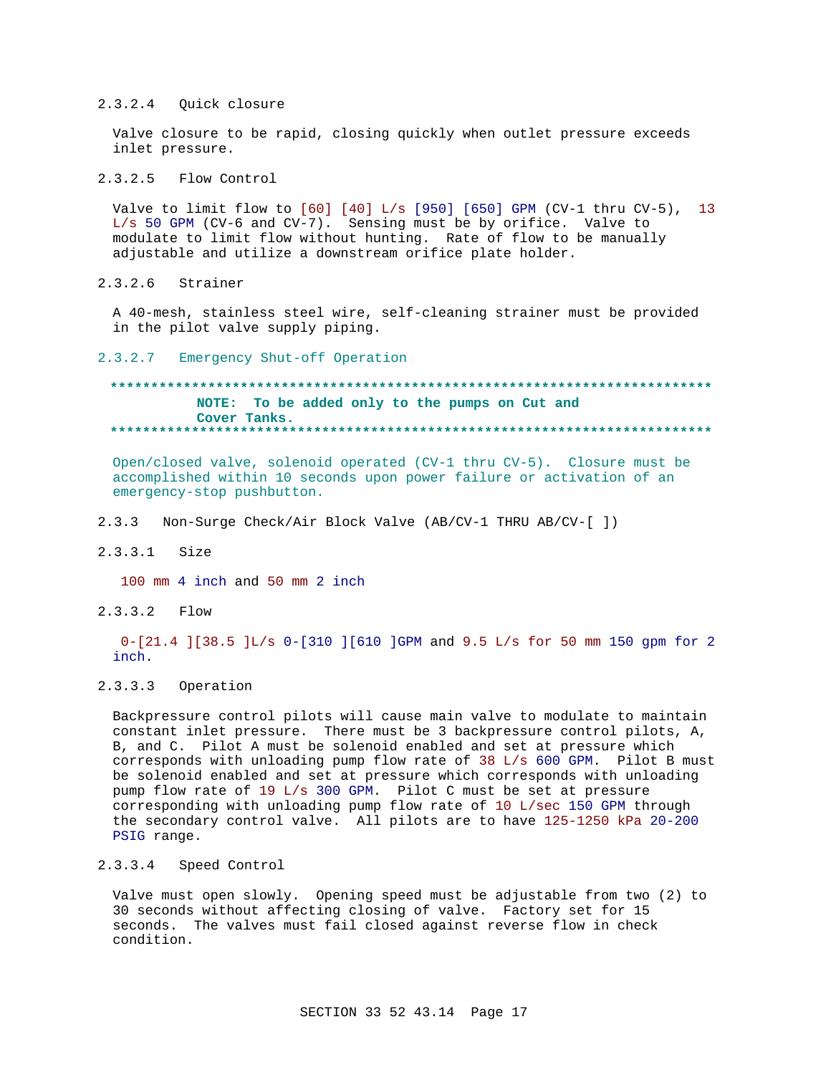## 2.3.2.4 Quick closure

Valve closure to be rapid, closing quickly when outlet pressure exceeds inlet pressure.

## 2.3.2.5 Flow Control

Valve to limit flow to [60] [40] L/s [950] [650] GPM (CV-1 thru CV-5), 13 L/s 50 GPM (CV-6 and CV-7). Sensing must be by orifice. Valve to modulate to limit flow without hunting. Rate of flow to be manually adjustable and utilize a downstream orifice plate holder.

2.3.2.6 Strainer

A 40-mesh, stainless steel wire, self-cleaning strainer must be provided in the pilot valve supply piping.

### 2.3.2.7 Emergency Shut-off Operation

# **\*\*\*\*\*\*\*\*\*\*\*\*\*\*\*\*\*\*\*\*\*\*\*\*\*\*\*\*\*\*\*\*\*\*\*\*\*\*\*\*\*\*\*\*\*\*\*\*\*\*\*\*\*\*\*\*\*\*\*\*\*\*\*\*\*\*\*\*\*\*\*\*\*\* NOTE: To be added only to the pumps on Cut and Cover Tanks. \*\*\*\*\*\*\*\*\*\*\*\*\*\*\*\*\*\*\*\*\*\*\*\*\*\*\*\*\*\*\*\*\*\*\*\*\*\*\*\*\*\*\*\*\*\*\*\*\*\*\*\*\*\*\*\*\*\*\*\*\*\*\*\*\*\*\*\*\*\*\*\*\*\***

Open/closed valve, solenoid operated (CV-1 thru CV-5). Closure must be accomplished within 10 seconds upon power failure or activation of an emergency-stop pushbutton.

- 2.3.3 Non-Surge Check/Air Block Valve (AB/CV-1 THRU AB/CV-[ ])
- 2.3.3.1 Size

100 mm 4 inch and 50 mm 2 inch

2.3.3.2 Flow

 0-[21.4 ][38.5 ]L/s 0-[310 ][610 ]GPM and 9.5 L/s for 50 mm 150 gpm for 2 inch.

# 2.3.3.3 Operation

Backpressure control pilots will cause main valve to modulate to maintain constant inlet pressure. There must be 3 backpressure control pilots, A, B, and C. Pilot A must be solenoid enabled and set at pressure which corresponds with unloading pump flow rate of 38 L/s 600 GPM. Pilot B must be solenoid enabled and set at pressure which corresponds with unloading pump flow rate of 19 L/s 300 GPM. Pilot C must be set at pressure corresponding with unloading pump flow rate of 10 L/sec 150 GPM through the secondary control valve. All pilots are to have 125-1250 kPa 20-200 PSIG range.

## 2.3.3.4 Speed Control

Valve must open slowly. Opening speed must be adjustable from two (2) to 30 seconds without affecting closing of valve. Factory set for 15 seconds. The valves must fail closed against reverse flow in check condition.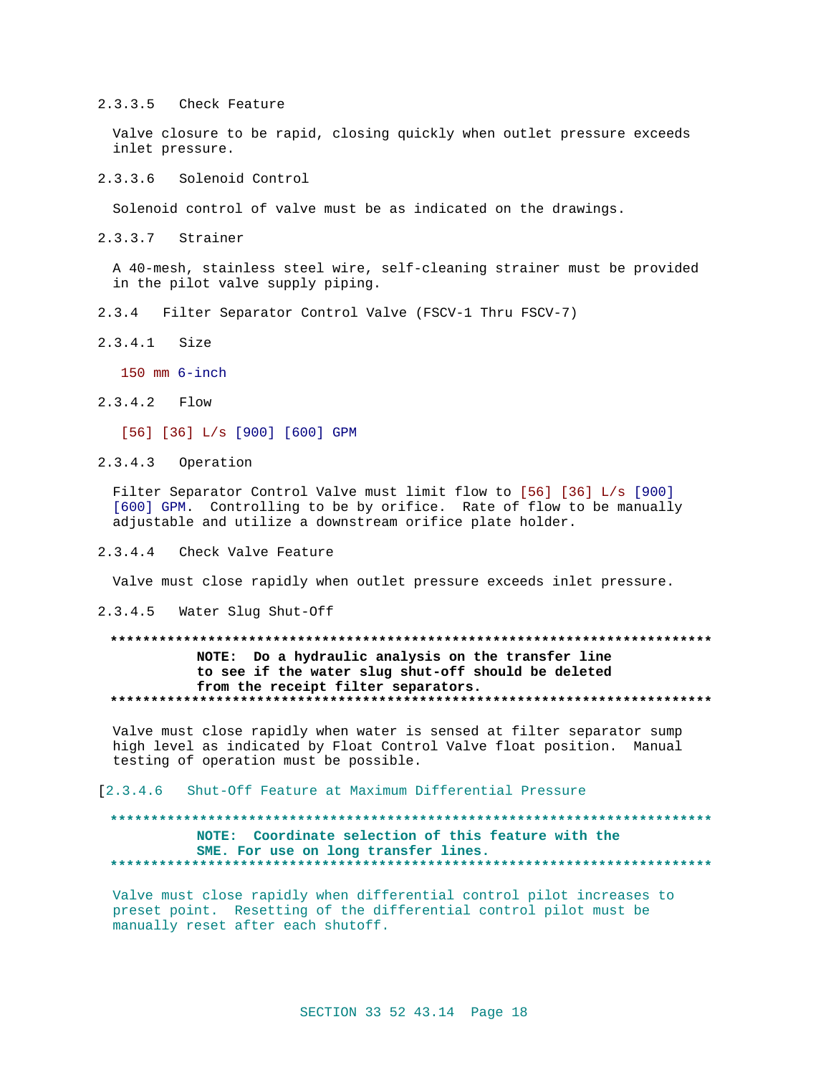2.3.3.5 Check Feature

Valve closure to be rapid, closing quickly when outlet pressure exceeds inlet pressure.

 $2.3.3.6$ Solenoid Control

Solenoid control of valve must be as indicated on the drawings.

 $2.3.3.7$  Strainer

A 40-mesh, stainless steel wire, self-cleaning strainer must be provided in the pilot valve supply piping.

 $2.3.4$ Filter Separator Control Valve (FSCV-1 Thru FSCV-7)

 $2.3.4.1$ Size

150 mm 6-inch

2.3.4.2 Flow

[56] [36] L/s [900] [600] GPM

2.3.4.3 Operation

Filter Separator Control Valve must limit flow to [56] [36] L/s [900] [600] GPM. Controlling to be by orifice. Rate of flow to be manually adjustable and utilize a downstream orifice plate holder.

2.3.4.4 Check Valve Feature

Valve must close rapidly when outlet pressure exceeds inlet pressure.

 $2.3.4.5$ Water Slug Shut-Off

# NOTE: Do a hydraulic analysis on the transfer line to see if the water slug shut-off should be deleted from the receipt filter separators.

Valve must close rapidly when water is sensed at filter separator sump high level as indicated by Float Control Valve float position. Manual testing of operation must be possible.

[2.3.4.6 Shut-Off Feature at Maximum Differential Pressure

# NOTE: Coordinate selection of this feature with the SME. For use on long transfer lines.

Valve must close rapidly when differential control pilot increases to preset point. Resetting of the differential control pilot must be manually reset after each shutoff.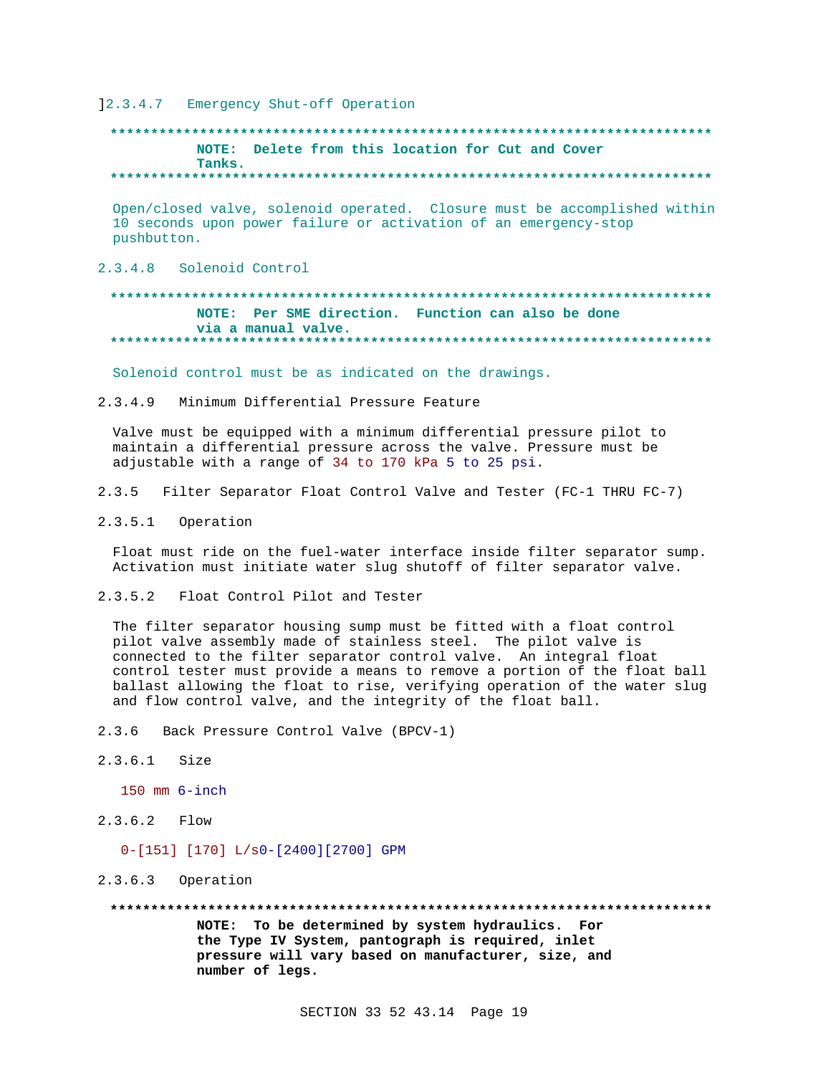## 12.3.4.7 Emergency Shut-off Operation

## NOTE: Delete from this location for Cut and Cover Tanks.

Open/closed valve, solenoid operated. Closure must be accomplished within 10 seconds upon power failure or activation of an emergency-stop pushbutton.

## 2.3.4.8 Solenoid Control

# NOTE: Per SME direction. Function can also be done via a manual valve.

Solenoid control must be as indicated on the drawings.

## 2.3.4.9 Minimum Differential Pressure Feature

Valve must be equipped with a minimum differential pressure pilot to maintain a differential pressure across the valve. Pressure must be adjustable with a range of 34 to 170 kPa 5 to 25 psi.

- $2.3.5$ Filter Separator Float Control Valve and Tester (FC-1 THRU FC-7)
- $2.3.5.1$ Operation

Float must ride on the fuel-water interface inside filter separator sump. Activation must initiate water slug shutoff of filter separator valve.

2.3.5.2 Float Control Pilot and Tester

The filter separator housing sump must be fitted with a float control pilot valve assembly made of stainless steel. The pilot valve is connected to the filter separator control valve. An integral float control tester must provide a means to remove a portion of the float ball ballast allowing the float to rise, verifying operation of the water slug and flow control valve, and the integrity of the float ball.

 $2.3.6$ Back Pressure Control Valve (BPCV-1)

 $2.3.6.1$ Size

150 mm 6-inch

 $2.3.6.2$  Flow

0-[151] [170] L/s0-[2400][2700] GPM

 $2.3.6.3$  Operation

NOTE: To be determined by system hydraulics. For the Type IV System, pantograph is required, inlet pressure will vary based on manufacturer, size, and number of legs.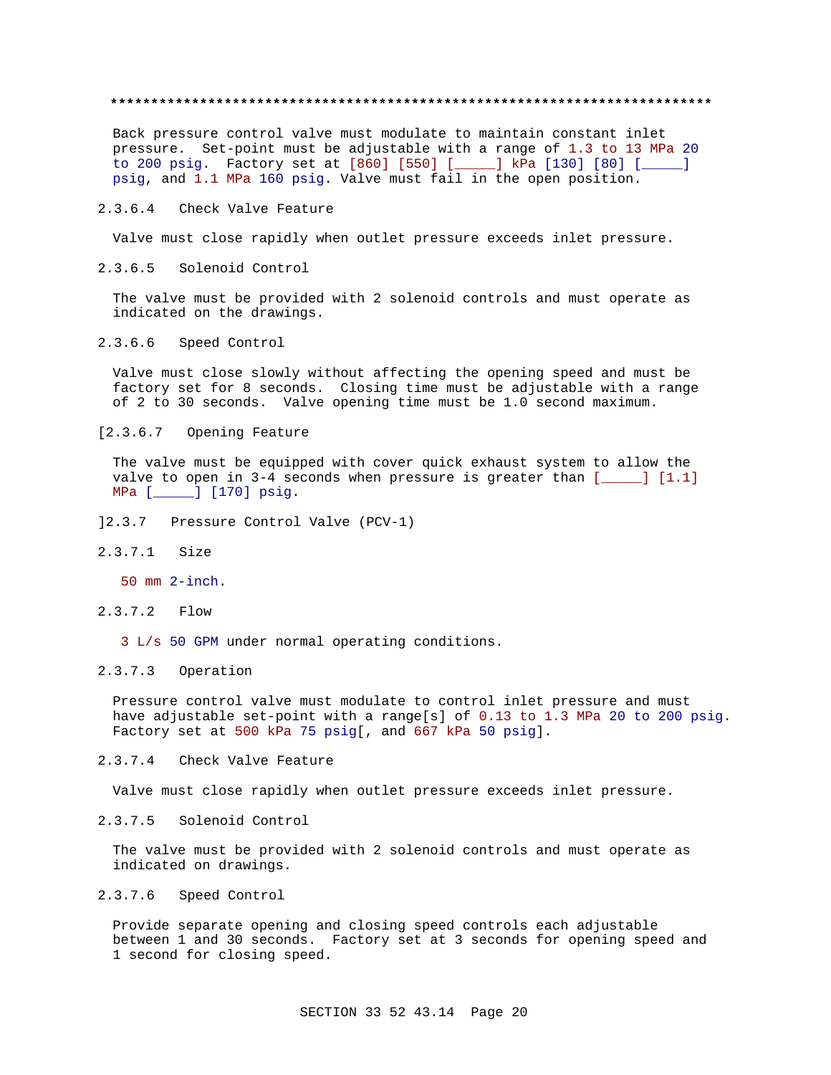# **\*\*\*\*\*\*\*\*\*\*\*\*\*\*\*\*\*\*\*\*\*\*\*\*\*\*\*\*\*\*\*\*\*\*\*\*\*\*\*\*\*\*\*\*\*\*\*\*\*\*\*\*\*\*\*\*\*\*\*\*\*\*\*\*\*\*\*\*\*\*\*\*\*\***

Back pressure control valve must modulate to maintain constant inlet pressure. Set-point must be adjustable with a range of 1.3 to 13 MPa 20 to 200 psig. Factory set at [860] [550] [\_\_\_\_\_] kPa [130] [80] [\_\_\_\_\_] psig, and 1.1 MPa 160 psig. Valve must fail in the open position.

## 2.3.6.4 Check Valve Feature

Valve must close rapidly when outlet pressure exceeds inlet pressure.

2.3.6.5 Solenoid Control

The valve must be provided with 2 solenoid controls and must operate as indicated on the drawings.

2.3.6.6 Speed Control

Valve must close slowly without affecting the opening speed and must be factory set for 8 seconds. Closing time must be adjustable with a range of 2 to 30 seconds. Valve opening time must be 1.0 second maximum.

[2.3.6.7 Opening Feature

The valve must be equipped with cover quick exhaust system to allow the valve to open in 3-4 seconds when pressure is greater than [\_\_\_\_\_] [1.1] MPa [\_\_\_\_\_] [170] psig.

- ]2.3.7 Pressure Control Valve (PCV-1)
- 2.3.7.1 Size

50 mm 2-inch.

2.3.7.2 Flow

3 L/s 50 GPM under normal operating conditions.

2.3.7.3 Operation

Pressure control valve must modulate to control inlet pressure and must have adjustable set-point with a range[s] of 0.13 to 1.3 MPa 20 to 200 psig. Factory set at 500 kPa 75 psig[, and 667 kPa 50 psig].

2.3.7.4 Check Valve Feature

Valve must close rapidly when outlet pressure exceeds inlet pressure.

2.3.7.5 Solenoid Control

The valve must be provided with 2 solenoid controls and must operate as indicated on drawings.

## 2.3.7.6 Speed Control

Provide separate opening and closing speed controls each adjustable between 1 and 30 seconds. Factory set at 3 seconds for opening speed and 1 second for closing speed.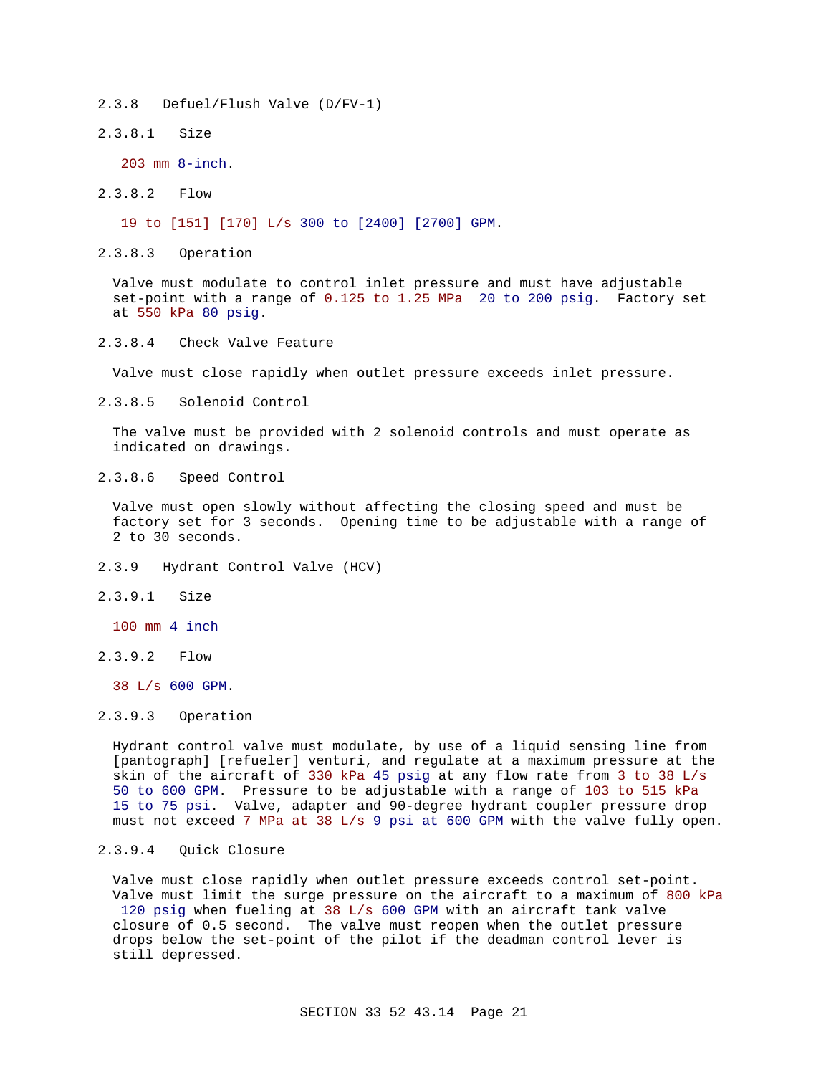2.3.8 Defuel/Flush Valve (D/FV-1)

2.3.8.1 Size

203 mm 8-inch.

2.3.8.2 Flow

19 to [151] [170] L/s 300 to [2400] [2700] GPM.

2.3.8.3 Operation

Valve must modulate to control inlet pressure and must have adjustable set-point with a range of 0.125 to 1.25 MPa 20 to 200 psig. Factory set at 550 kPa 80 psig.

2.3.8.4 Check Valve Feature

Valve must close rapidly when outlet pressure exceeds inlet pressure.

2.3.8.5 Solenoid Control

The valve must be provided with 2 solenoid controls and must operate as indicated on drawings.

2.3.8.6 Speed Control

Valve must open slowly without affecting the closing speed and must be factory set for 3 seconds. Opening time to be adjustable with a range of 2 to 30 seconds.

- 2.3.9 Hydrant Control Valve (HCV)
- 2.3.9.1 Size

100 mm 4 inch

2.3.9.2 Flow

38 L/s 600 GPM.

# 2.3.9.3 Operation

Hydrant control valve must modulate, by use of a liquid sensing line from [pantograph] [refueler] venturi, and regulate at a maximum pressure at the skin of the aircraft of 330 kPa 45 psig at any flow rate from 3 to 38 L/s 50 to 600 GPM. Pressure to be adjustable with a range of 103 to 515 kPa 15 to 75 psi. Valve, adapter and 90-degree hydrant coupler pressure drop must not exceed 7 MPa at 38 L/s 9 psi at 600 GPM with the valve fully open.

## 2.3.9.4 Quick Closure

Valve must close rapidly when outlet pressure exceeds control set-point. Valve must limit the surge pressure on the aircraft to a maximum of 800 kPa 120 psig when fueling at 38 L/s 600 GPM with an aircraft tank valve closure of 0.5 second. The valve must reopen when the outlet pressure drops below the set-point of the pilot if the deadman control lever is still depressed.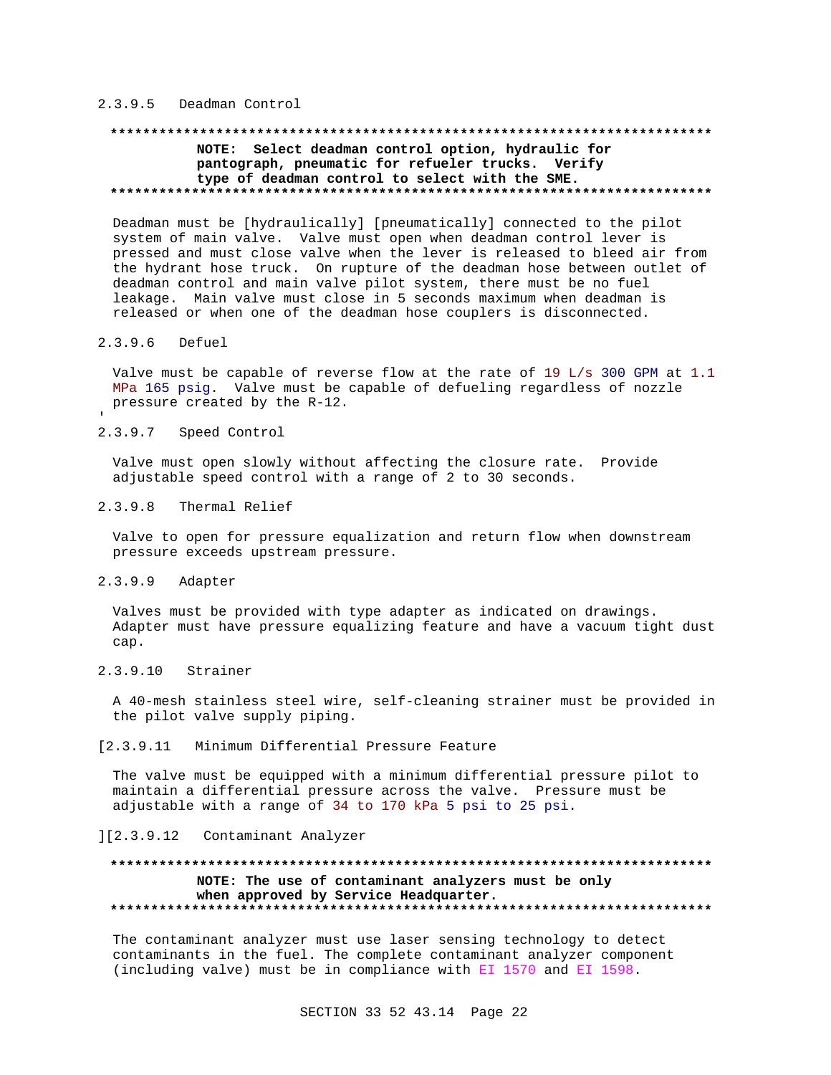## 2.3.9.5 Deadman Control

### **\*\*\*\*\*\*\*\*\*\*\*\*\*\*\*\*\*\*\*\*\*\*\*\*\*\*\*\*\*\*\*\*\*\*\*\*\*\*\*\*\*\*\*\*\*\*\*\*\*\*\*\*\*\*\*\*\*\*\*\*\*\*\*\*\*\*\*\*\*\*\*\*\*\***

## **NOTE: Select deadman control option, hydraulic for pantograph, pneumatic for refueler trucks. Verify type of deadman control to select with the SME. \*\*\*\*\*\*\*\*\*\*\*\*\*\*\*\*\*\*\*\*\*\*\*\*\*\*\*\*\*\*\*\*\*\*\*\*\*\*\*\*\*\*\*\*\*\*\*\*\*\*\*\*\*\*\*\*\*\*\*\*\*\*\*\*\*\*\*\*\*\*\*\*\*\***

Deadman must be [hydraulically] [pneumatically] connected to the pilot system of main valve. Valve must open when deadman control lever is pressed and must close valve when the lever is released to bleed air from the hydrant hose truck. On rupture of the deadman hose between outlet of deadman control and main valve pilot system, there must be no fuel leakage. Main valve must close in 5 seconds maximum when deadman is released or when one of the deadman hose couplers is disconnected.

### 2.3.9.6 Defuel

Valve must be capable of reverse flow at the rate of 19 L/s 300 GPM at 1.1 MPa 165 psig. Valve must be capable of defueling regardless of nozzle pressure created by the R-12.

## 2.3.9.7 Speed Control

Valve must open slowly without affecting the closure rate. Provide adjustable speed control with a range of 2 to 30 seconds.

#### 2.3.9.8 Thermal Relief

Valve to open for pressure equalization and return flow when downstream pressure exceeds upstream pressure.

## 2.3.9.9 Adapter

Valves must be provided with type adapter as indicated on drawings. Adapter must have pressure equalizing feature and have a vacuum tight dust cap.

# 2.3.9.10 Strainer

A 40-mesh stainless steel wire, self-cleaning strainer must be provided in the pilot valve supply piping.

#### [2.3.9.11 Minimum Differential Pressure Feature

The valve must be equipped with a minimum differential pressure pilot to maintain a differential pressure across the valve. Pressure must be adjustable with a range of 34 to 170 kPa 5 psi to 25 psi.

### ][2.3.9.12 Contaminant Analyzer

## **\*\*\*\*\*\*\*\*\*\*\*\*\*\*\*\*\*\*\*\*\*\*\*\*\*\*\*\*\*\*\*\*\*\*\*\*\*\*\*\*\*\*\*\*\*\*\*\*\*\*\*\*\*\*\*\*\*\*\*\*\*\*\*\*\*\*\*\*\*\*\*\*\*\* NOTE: The use of contaminant analyzers must be only when approved by Service Headquarter. \*\*\*\*\*\*\*\*\*\*\*\*\*\*\*\*\*\*\*\*\*\*\*\*\*\*\*\*\*\*\*\*\*\*\*\*\*\*\*\*\*\*\*\*\*\*\*\*\*\*\*\*\*\*\*\*\*\*\*\*\*\*\*\*\*\*\*\*\*\*\*\*\*\***

The contaminant analyzer must use laser sensing technology to detect contaminants in the fuel. The complete contaminant analyzer component (including valve) must be in compliance with EI 1570 and EI 1598.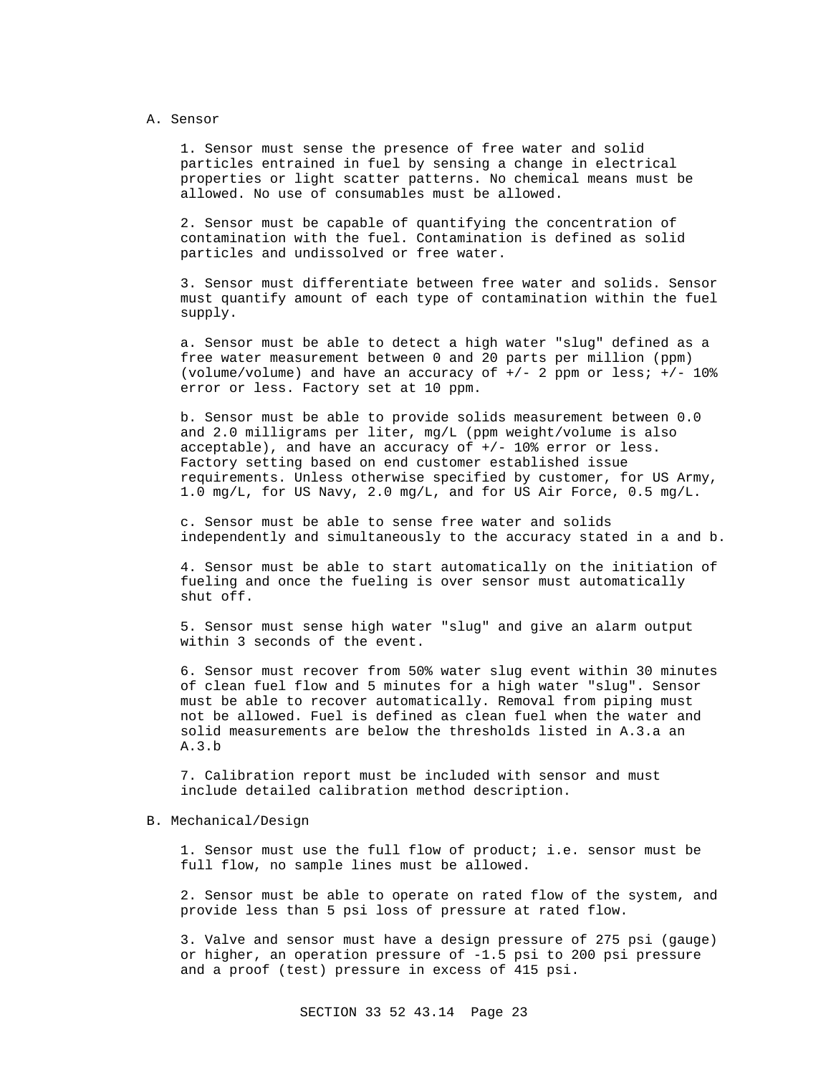## A. Sensor

1. Sensor must sense the presence of free water and solid particles entrained in fuel by sensing a change in electrical properties or light scatter patterns. No chemical means must be allowed. No use of consumables must be allowed.

2. Sensor must be capable of quantifying the concentration of contamination with the fuel. Contamination is defined as solid particles and undissolved or free water.

3. Sensor must differentiate between free water and solids. Sensor must quantify amount of each type of contamination within the fuel supply.

a. Sensor must be able to detect a high water "slug" defined as a free water measurement between 0 and 20 parts per million (ppm) (volume/volume) and have an accuracy of  $+/- 2$  ppm or less;  $+/- 10$ % error or less. Factory set at 10 ppm.

b. Sensor must be able to provide solids measurement between 0.0 and 2.0 milligrams per liter, mg/L (ppm weight/volume is also acceptable), and have an accuracy of  $+/-$  10% error or less. Factory setting based on end customer established issue requirements. Unless otherwise specified by customer, for US Army, 1.0 mg/L, for US Navy, 2.0 mg/L, and for US Air Force, 0.5 mg/L.

c. Sensor must be able to sense free water and solids independently and simultaneously to the accuracy stated in a and b.

4. Sensor must be able to start automatically on the initiation of fueling and once the fueling is over sensor must automatically shut off.

5. Sensor must sense high water "slug" and give an alarm output within 3 seconds of the event.

6. Sensor must recover from 50% water slug event within 30 minutes of clean fuel flow and 5 minutes for a high water "slug". Sensor must be able to recover automatically. Removal from piping must not be allowed. Fuel is defined as clean fuel when the water and solid measurements are below the thresholds listed in A.3.a an A.3.b

7. Calibration report must be included with sensor and must include detailed calibration method description.

## B. Mechanical/Design

1. Sensor must use the full flow of product; i.e. sensor must be full flow, no sample lines must be allowed.

2. Sensor must be able to operate on rated flow of the system, and provide less than 5 psi loss of pressure at rated flow.

3. Valve and sensor must have a design pressure of 275 psi (gauge) or higher, an operation pressure of -1.5 psi to 200 psi pressure and a proof (test) pressure in excess of 415 psi.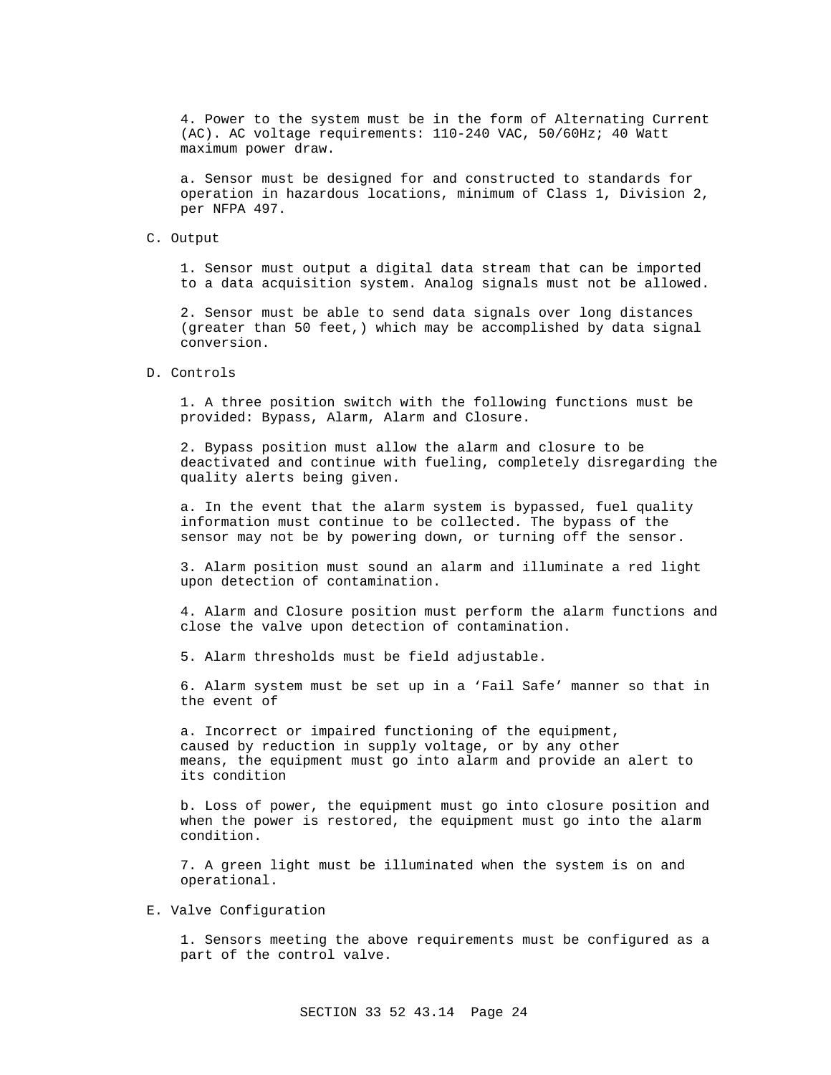4. Power to the system must be in the form of Alternating Current (AC). AC voltage requirements: 110-240 VAC, 50/60Hz; 40 Watt maximum power draw.

a. Sensor must be designed for and constructed to standards for operation in hazardous locations, minimum of Class 1, Division 2, per NFPA 497.

C. Output

1. Sensor must output a digital data stream that can be imported to a data acquisition system. Analog signals must not be allowed.

2. Sensor must be able to send data signals over long distances (greater than 50 feet,) which may be accomplished by data signal conversion.

D. Controls

1. A three position switch with the following functions must be provided: Bypass, Alarm, Alarm and Closure.

2. Bypass position must allow the alarm and closure to be deactivated and continue with fueling, completely disregarding the quality alerts being given.

a. In the event that the alarm system is bypassed, fuel quality information must continue to be collected. The bypass of the sensor may not be by powering down, or turning off the sensor.

3. Alarm position must sound an alarm and illuminate a red light upon detection of contamination.

4. Alarm and Closure position must perform the alarm functions and close the valve upon detection of contamination.

5. Alarm thresholds must be field adjustable.

6. Alarm system must be set up in a 'Fail Safe' manner so that in the event of

a. Incorrect or impaired functioning of the equipment, caused by reduction in supply voltage, or by any other means, the equipment must go into alarm and provide an alert to its condition

b. Loss of power, the equipment must go into closure position and when the power is restored, the equipment must go into the alarm condition.

7. A green light must be illuminated when the system is on and operational.

E. Valve Configuration

1. Sensors meeting the above requirements must be configured as a part of the control valve.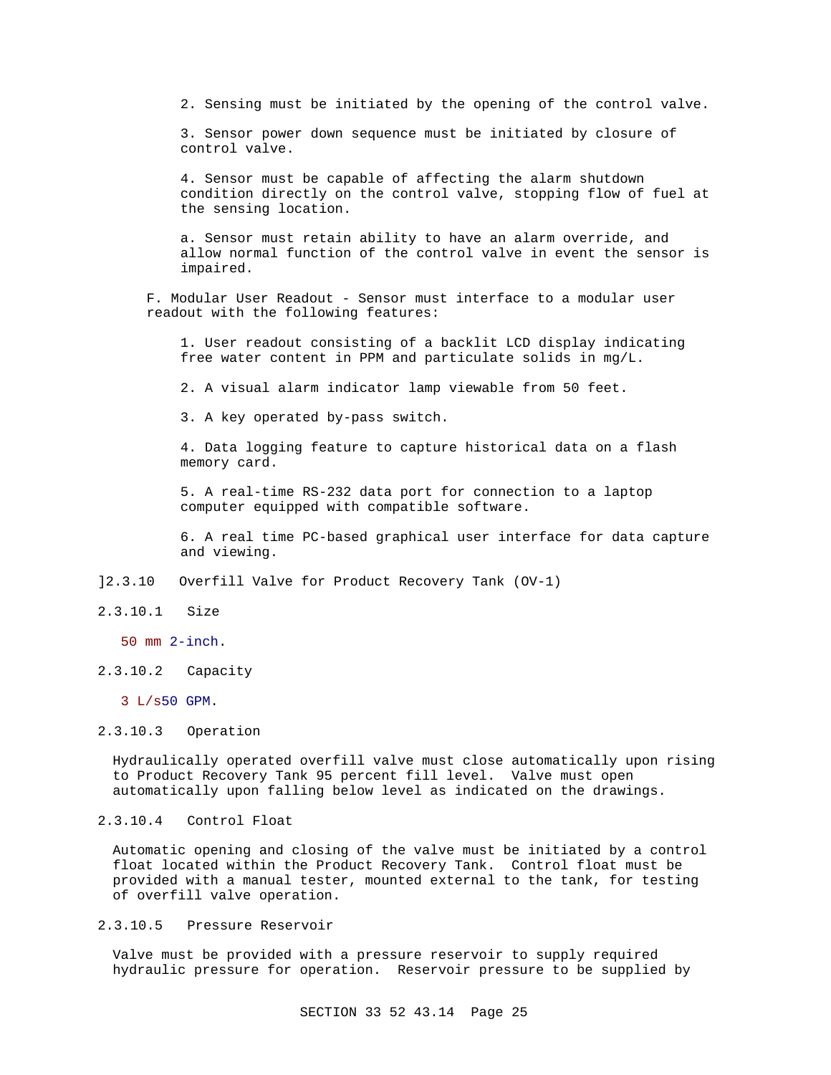2. Sensing must be initiated by the opening of the control valve.

3. Sensor power down sequence must be initiated by closure of control valve.

4. Sensor must be capable of affecting the alarm shutdown condition directly on the control valve, stopping flow of fuel at the sensing location.

a. Sensor must retain ability to have an alarm override, and allow normal function of the control valve in event the sensor is impaired.

F. Modular User Readout - Sensor must interface to a modular user readout with the following features:

1. User readout consisting of a backlit LCD display indicating free water content in PPM and particulate solids in mg/L.

2. A visual alarm indicator lamp viewable from 50 feet.

3. A key operated by-pass switch.

4. Data logging feature to capture historical data on a flash memory card.

5. A real-time RS-232 data port for connection to a laptop computer equipped with compatible software.

6. A real time PC-based graphical user interface for data capture and viewing.

]2.3.10 Overfill Valve for Product Recovery Tank (OV-1)

2.3.10.1 Size

50 mm 2-inch.

2.3.10.2 Capacity

3 L/s50 GPM.

2.3.10.3 Operation

Hydraulically operated overfill valve must close automatically upon rising to Product Recovery Tank 95 percent fill level. Valve must open automatically upon falling below level as indicated on the drawings.

2.3.10.4 Control Float

Automatic opening and closing of the valve must be initiated by a control float located within the Product Recovery Tank. Control float must be provided with a manual tester, mounted external to the tank, for testing of overfill valve operation.

2.3.10.5 Pressure Reservoir

Valve must be provided with a pressure reservoir to supply required hydraulic pressure for operation. Reservoir pressure to be supplied by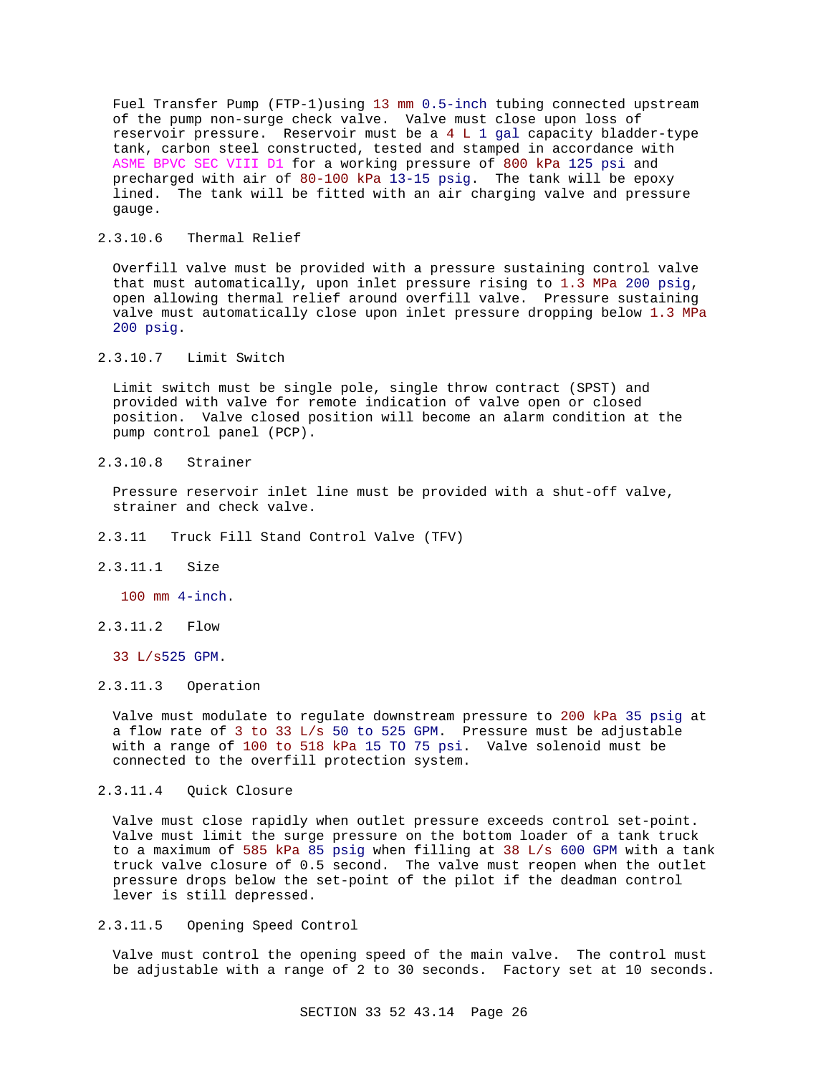Fuel Transfer Pump (FTP-1)using 13 mm 0.5-inch tubing connected upstream of the pump non-surge check valve. Valve must close upon loss of reservoir pressure. Reservoir must be a 4 L 1 gal capacity bladder-type tank, carbon steel constructed, tested and stamped in accordance with ASME BPVC SEC VIII D1 for a working pressure of 800 kPa 125 psi and precharged with air of 80-100 kPa 13-15 psig. The tank will be epoxy lined. The tank will be fitted with an air charging valve and pressure gauge.

2.3.10.6 Thermal Relief

Overfill valve must be provided with a pressure sustaining control valve that must automatically, upon inlet pressure rising to 1.3 MPa 200 psig, open allowing thermal relief around overfill valve. Pressure sustaining valve must automatically close upon inlet pressure dropping below 1.3 MPa 200 psig.

2.3.10.7 Limit Switch

Limit switch must be single pole, single throw contract (SPST) and provided with valve for remote indication of valve open or closed position. Valve closed position will become an alarm condition at the pump control panel (PCP).

2.3.10.8 Strainer

Pressure reservoir inlet line must be provided with a shut-off valve, strainer and check valve.

- 2.3.11 Truck Fill Stand Control Valve (TFV)
- 2.3.11.1 Size

100 mm 4-inch.

2.3.11.2 Flow

33 L/s525 GPM.

2.3.11.3 Operation

Valve must modulate to regulate downstream pressure to 200 kPa 35 psig at a flow rate of 3 to 33 L/s 50 to 525 GPM. Pressure must be adjustable with a range of 100 to 518 kPa 15 TO 75 psi. Valve solenoid must be connected to the overfill protection system.

2.3.11.4 Quick Closure

Valve must close rapidly when outlet pressure exceeds control set-point. Valve must limit the surge pressure on the bottom loader of a tank truck to a maximum of 585 kPa 85 psig when filling at 38 L/s 600 GPM with a tank truck valve closure of 0.5 second. The valve must reopen when the outlet pressure drops below the set-point of the pilot if the deadman control lever is still depressed.

2.3.11.5 Opening Speed Control

Valve must control the opening speed of the main valve. The control must be adjustable with a range of 2 to 30 seconds. Factory set at 10 seconds.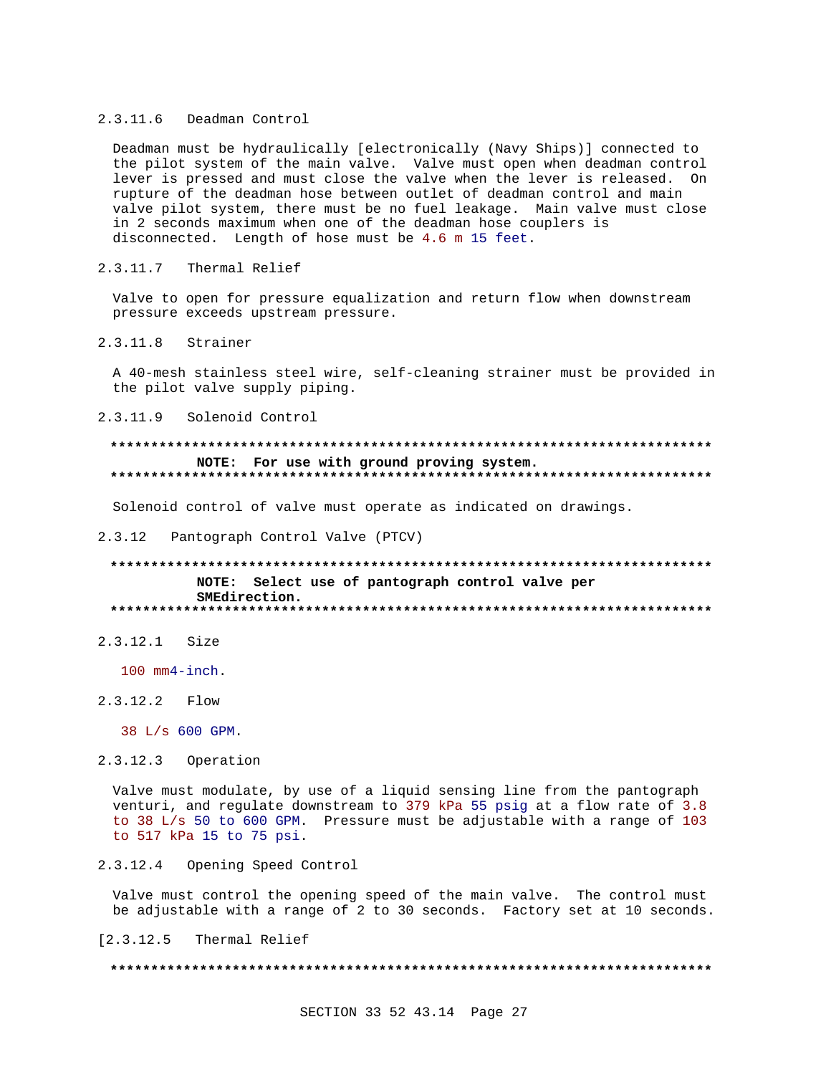#### $2.3.11.6$ Deadman Control

Deadman must be hydraulically [electronically (Navy Ships)] connected to the pilot system of the main valve. Valve must open when deadman control lever is pressed and must close the valve when the lever is released. rupture of the deadman hose between outlet of deadman control and main valve pilot system, there must be no fuel leakage. Main valve must close in 2 seconds maximum when one of the deadman hose couplers is disconnected. Length of hose must be 4.6 m 15 feet.

 $2.3.11.7$ Thermal Relief

Valve to open for pressure equalization and return flow when downstream pressure exceeds upstream pressure.

 $2.3.11.8$ Strainer

A 40-mesh stainless steel wire, self-cleaning strainer must be provided in the pilot valve supply piping.

2.3.11.9 Solenoid Control

## NOTE: For use with ground proving system.

Solenoid control of valve must operate as indicated on drawings.

#### 2.3.12 Pantograph Control Valve (PTCV)

## NOTE: Select use of pantograph control valve per SMEdirection.

2.3.12.1 Size

100 mm4-inch.

2.3.12.2 Flow

38 L/s 600 GPM.

2.3.12.3 Operation

Valve must modulate, by use of a liquid sensing line from the pantograph venturi, and regulate downstream to 379 kPa 55 psig at a flow rate of 3.8 to 38 L/s 50 to 600 GPM. Pressure must be adjustable with a range of 103 to 517 kPa 15 to 75 psi.

2.3.12.4 Opening Speed Control

Valve must control the opening speed of the main valve. The control must be adjustable with a range of 2 to 30 seconds. Factory set at 10 seconds.

[2.3.12.5 Thermal Relief

####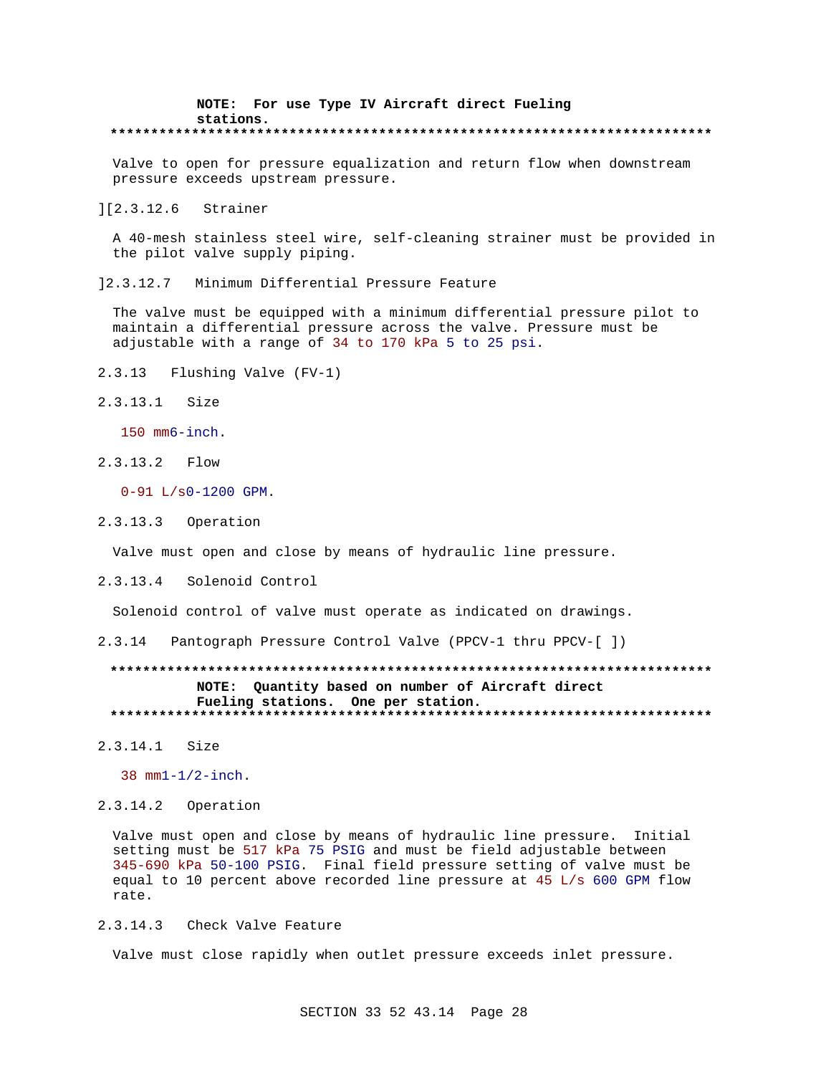#### NOTE: For use Type IV Aircraft direct Fueling stations.

Valve to open for pressure equalization and return flow when downstream

 $1[2.3.12.6]$ Strainer

A 40-mesh stainless steel wire, self-cleaning strainer must be provided in the pilot valve supply piping.

 $] 2.3.12.7$ Minimum Differential Pressure Feature

pressure exceeds upstream pressure.

The valve must be equipped with a minimum differential pressure pilot to maintain a differential pressure across the valve. Pressure must be adjustable with a range of 34 to 170 kPa 5 to 25 psi.

 $2.3.13$ Flushing Valve (FV-1)

 $2.3.13.1$ Size

150 mm6-inch.

2.3.13.2 Flow

0-91 L/s0-1200 GPM.

2.3.13.3 Operation

Valve must open and close by means of hydraulic line pressure.

2.3.13.4 Solenoid Control

Solenoid control of valve must operate as indicated on drawings.

2.3.14 Pantograph Pressure Control Valve (PPCV-1 thru PPCV-[ ])

NOTE: Quantity based on number of Aircraft direct Fueling stations. One per station. 

 $2.3.14.1$ Size

38  $mm1-1/2$ -inch.

2.3.14.2 Operation

Valve must open and close by means of hydraulic line pressure. Initial setting must be 517 kPa 75 PSIG and must be field adjustable between 345-690 kPa 50-100 PSIG. Final field pressure setting of valve must be equal to 10 percent above recorded line pressure at 45 L/s 600 GPM flow rate.

2.3.14.3 Check Valve Feature

Valve must close rapidly when outlet pressure exceeds inlet pressure.